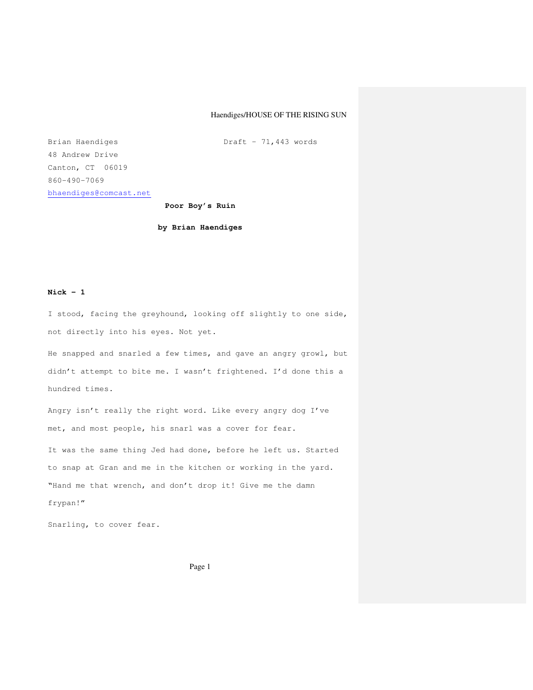Brian Haendiges **Draft - 71,443** words

48 Andrew Drive Canton, CT 06019 860-490-7069 bhaendiges@comcast.net

**Poor Boy's Ruin**

**by Brian Haendiges**

# **Nick – 1**

I stood, facing the greyhound, looking off slightly to one side, not directly into his eyes. Not yet.

He snapped and snarled a few times, and gave an angry growl, but didn't attempt to bite me. I wasn't frightened. I'd done this a hundred times.

Angry isn't really the right word. Like every angry dog I've met, and most people, his snarl was a cover for fear.

It was the same thing Jed had done, before he left us. Started to snap at Gran and me in the kitchen or working in the yard. "Hand me that wrench, and don't drop it! Give me the damn frypan!"

Snarling, to cover fear.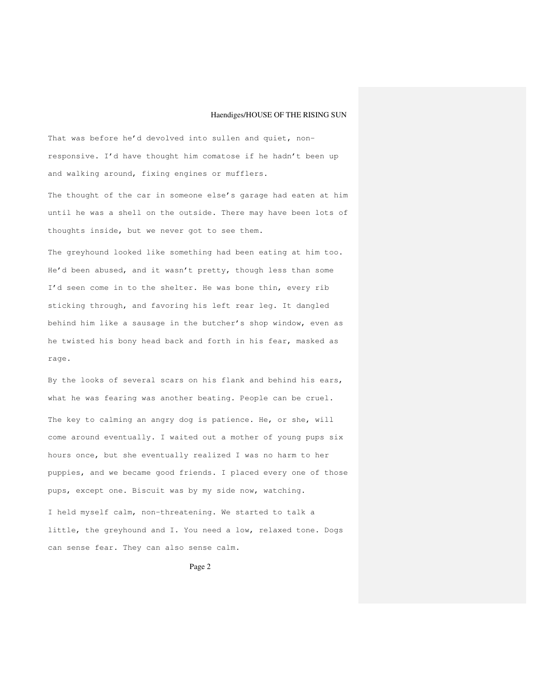That was before he'd devolved into sullen and quiet, nonresponsive. I'd have thought him comatose if he hadn't been up and walking around, fixing engines or mufflers.

The thought of the car in someone else's garage had eaten at him until he was a shell on the outside. There may have been lots of thoughts inside, but we never got to see them.

The greyhound looked like something had been eating at him too. He'd been abused, and it wasn't pretty, though less than some I'd seen come in to the shelter. He was bone thin, every rib sticking through, and favoring his left rear leg. It dangled behind him like a sausage in the butcher's shop window, even as he twisted his bony head back and forth in his fear, masked as rage.

By the looks of several scars on his flank and behind his ears, what he was fearing was another beating. People can be cruel. The key to calming an angry dog is patience. He, or she, will come around eventually. I waited out a mother of young pups six hours once, but she eventually realized I was no harm to her puppies, and we became good friends. I placed every one of those pups, except one. Biscuit was by my side now, watching. I held myself calm, non-threatening. We started to talk a little, the greyhound and I. You need a low, relaxed tone. Dogs

Page 2

can sense fear. They can also sense calm.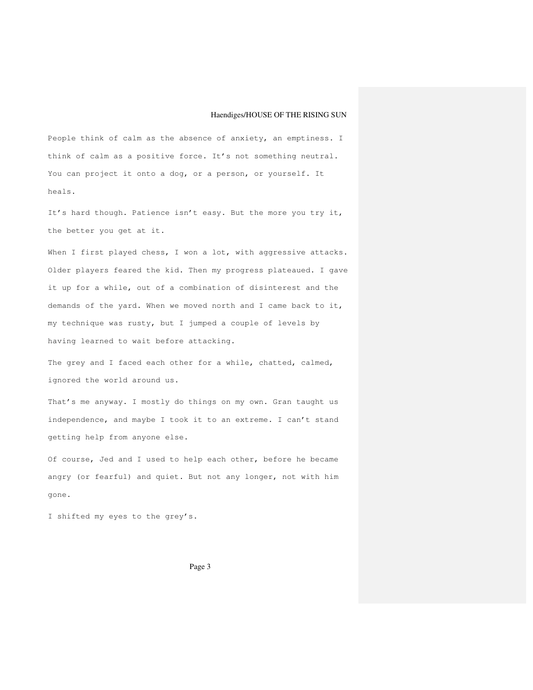People think of calm as the absence of anxiety, an emptiness. I think of calm as a positive force. It's not something neutral. You can project it onto a dog, or a person, or yourself. It heals.

It's hard though. Patience isn't easy. But the more you try it, the better you get at it.

When I first played chess, I won a lot, with aggressive attacks. Older players feared the kid. Then my progress plateaued. I gave it up for a while, out of a combination of disinterest and the demands of the yard. When we moved north and I came back to it, my technique was rusty, but I jumped a couple of levels by having learned to wait before attacking.

The grey and I faced each other for a while, chatted, calmed, ignored the world around us.

That's me anyway. I mostly do things on my own. Gran taught us independence, and maybe I took it to an extreme. I can't stand getting help from anyone else.

Of course, Jed and I used to help each other, before he became angry (or fearful) and quiet. But not any longer, not with him gone.

I shifted my eyes to the grey's.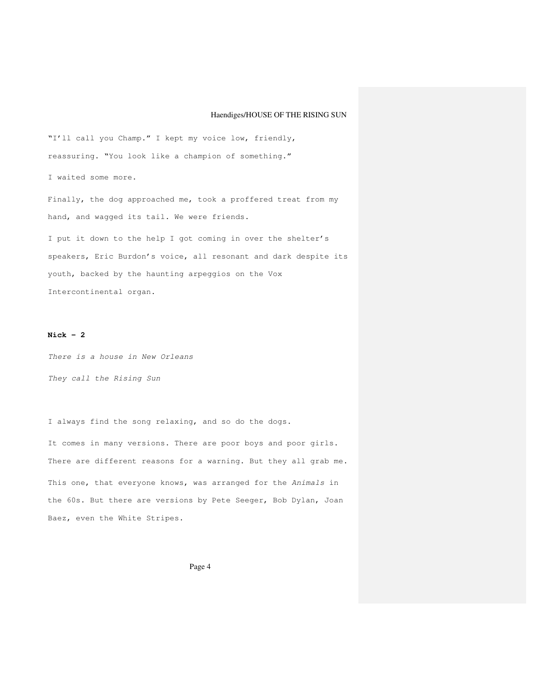"I'll call you Champ." I kept my voice low, friendly, reassuring. "You look like a champion of something." I waited some more. Finally, the dog approached me, took a proffered treat from my hand, and wagged its tail. We were friends. I put it down to the help I got coming in over the shelter's speakers, Eric Burdon's voice, all resonant and dark despite its youth, backed by the haunting arpeggios on the Vox Intercontinental organ.

## **Nick - 2**

There is a house in New Orleans

They call the Rising Sun

I always find the song relaxing, and so do the dogs. It comes in many versions. There are poor boys and poor girls. There are different reasons for a warning. But they all grab me. This one, that everyone knows, was arranged for the Animals in the 60s. But there are versions by Pete Seeger, Bob Dylan, Joan Baez, even the White Stripes.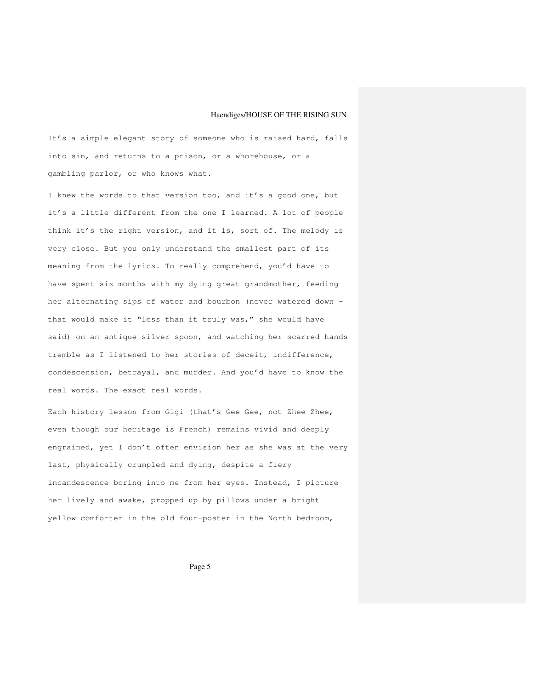It's a simple elegant story of someone who is raised hard, falls into sin, and returns to a prison, or a whorehouse, or a gambling parlor, or who knows what.

I knew the words to that version too, and it's a good one, but it's a little different from the one I learned. A lot of people think it's the right version, and it is, sort of. The melody is very close. But you only understand the smallest part of its meaning from the lyrics. To really comprehend, you'd have to have spent six months with my dying great grandmother, feeding her alternating sips of water and bourbon (never watered down – that would make it "less than it truly was," she would have said) on an antique silver spoon, and watching her scarred hands tremble as I listened to her stories of deceit, indifference, condescension, betrayal, and murder. And you'd have to know the real words. The exact real words.

Each history lesson from Gigi (that's Gee Gee, not Zhee Zhee, even though our heritage is French) remains vivid and deeply engrained, yet I don't often envision her as she was at the very last, physically crumpled and dying, despite a fiery incandescence boring into me from her eyes. Instead, I picture her lively and awake, propped up by pillows under a bright yellow comforter in the old four-poster in the North bedroom,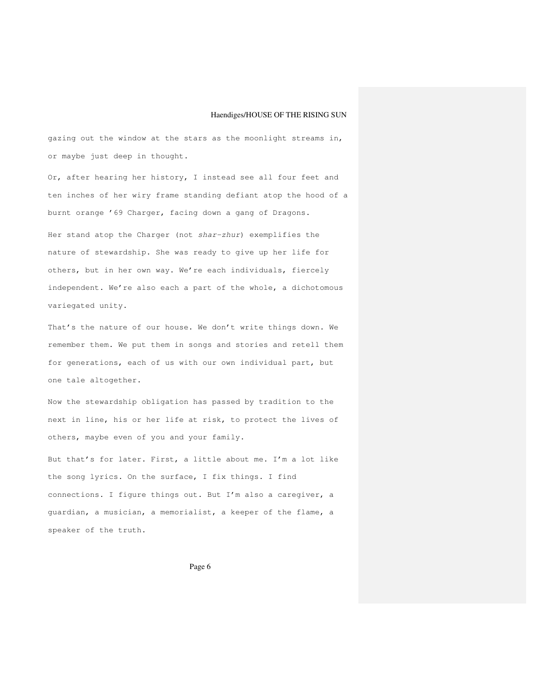gazing out the window at the stars as the moonlight streams in, or maybe just deep in thought.

Or, after hearing her history, I instead see all four feet and ten inches of her wiry frame standing defiant atop the hood of a burnt orange '69 Charger, facing down a gang of Dragons. Her stand atop the Charger (not shar-zhur) exemplifies the nature of stewardship. She was ready to give up her life for others, but in her own way. We're each individuals, fiercely

independent. We're also each a part of the whole, a dichotomous variegated unity.

That's the nature of our house. We don't write things down. We remember them. We put them in songs and stories and retell them for generations, each of us with our own individual part, but one tale altogether.

Now the stewardship obligation has passed by tradition to the next in line, his or her life at risk, to protect the lives of others, maybe even of you and your family.

But that's for later. First, a little about me. I'm a lot like the song lyrics. On the surface, I fix things. I find connections. I figure things out. But I'm also a caregiver, a guardian, a musician, a memorialist, a keeper of the flame, a speaker of the truth.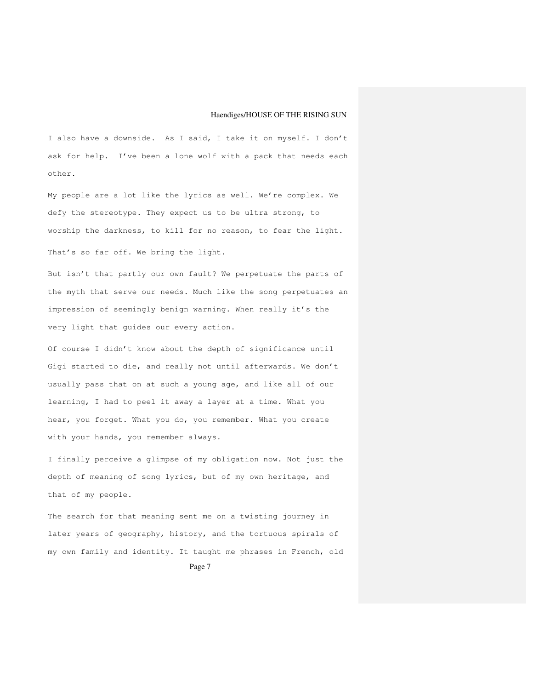I also have a downside. As I said, I take it on myself. I don't ask for help. I've been a lone wolf with a pack that needs each other.

My people are a lot like the lyrics as well. We're complex. We defy the stereotype. They expect us to be ultra strong, to worship the darkness, to kill for no reason, to fear the light. That's so far off. We bring the light.

But isn't that partly our own fault? We perpetuate the parts of the myth that serve our needs. Much like the song perpetuates an impression of seemingly benign warning. When really it's the very light that guides our every action.

Of course I didn't know about the depth of significance until Gigi started to die, and really not until afterwards. We don't usually pass that on at such a young age, and like all of our learning, I had to peel it away a layer at a time. What you hear, you forget. What you do, you remember. What you create with your hands, you remember always.

I finally perceive a glimpse of my obligation now. Not just the depth of meaning of song lyrics, but of my own heritage, and that of my people.

Page 7 The search for that meaning sent me on a twisting journey in later years of geography, history, and the tortuous spirals of my own family and identity. It taught me phrases in French, old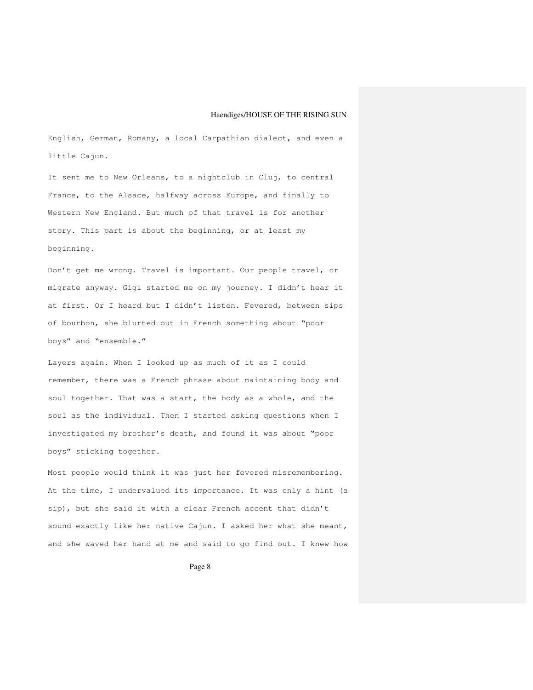English, German, Romany, a local Carpathian dialect, and even a little Cajun.

It sent me to New Orleans, to a nightclub in Cluj, to central France, to the Alsace, halfway across Europe, and finally to Western New England. But much of that travel is for another story. This part is about the beginning, or at least my beginning.

Don't get me wrong. Travel is important. Our people travel, or migrate anyway. Gigi started me on my journey. I didn't hear it at first. Or I heard but I didn't listen. Fevered, between sips of bourbon, she blurted out in French something about "poor boys" and "ensemble."

Layers again. When I looked up as much of it as I could remember, there was a French phrase about maintaining body and soul together. That was a start, the body as a whole, and the soul as the individual. Then I started asking questions when I investigated my brother's death, and found it was about "poor boys" sticking together.

Most people would think it was just her fevered misremembering. At the time, I undervalued its importance. It was only a hint (a sip), but she said it with a clear French accent that didn't sound exactly like her native Cajun. I asked her what she meant, and she waved her hand at me and said to go find out. I knew how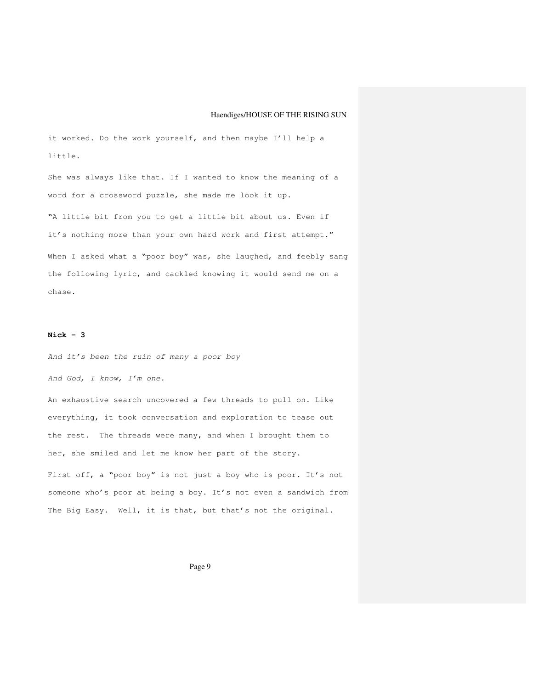it worked. Do the work yourself, and then maybe I'll help a little.

She was always like that. If I wanted to know the meaning of a word for a crossword puzzle, she made me look it up. "A little bit from you to get a little bit about us. Even if it's nothing more than your own hard work and first attempt." When I asked what a "poor boy" was, she laughed, and feebly sang the following lyric, and cackled knowing it would send me on a chase.

## **Nick - 3**

And it's been the ruin of many a poor boy

And God, I know, I'm one.

An exhaustive search uncovered a few threads to pull on. Like everything, it took conversation and exploration to tease out the rest. The threads were many, and when I brought them to her, she smiled and let me know her part of the story. First off, a "poor boy" is not just a boy who is poor. It's not someone who's poor at being a boy. It's not even a sandwich from The Big Easy. Well, it is that, but that's not the original.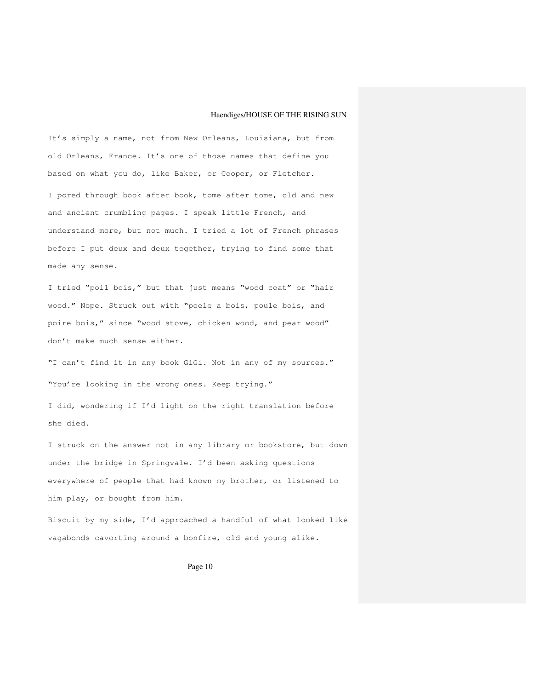It's simply a name, not from New Orleans, Louisiana, but from old Orleans, France. It's one of those names that define you based on what you do, like Baker, or Cooper, or Fletcher. I pored through book after book, tome after tome, old and new and ancient crumbling pages. I speak little French, and understand more, but not much. I tried a lot of French phrases before I put deux and deux together, trying to find some that made any sense.

I tried "poil bois," but that just means "wood coat" or "hair wood." Nope. Struck out with "poele a bois, poule bois, and poire bois," since "wood stove, chicken wood, and pear wood" don't make much sense either.

"I can't find it in any book GiGi. Not in any of my sources." "You're looking in the wrong ones. Keep trying."

I did, wondering if I'd light on the right translation before she died.

I struck on the answer not in any library or bookstore, but down under the bridge in Springvale. I'd been asking questions everywhere of people that had known my brother, or listened to him play, or bought from him.

Biscuit by my side, I'd approached a handful of what looked like vagabonds cavorting around a bonfire, old and young alike.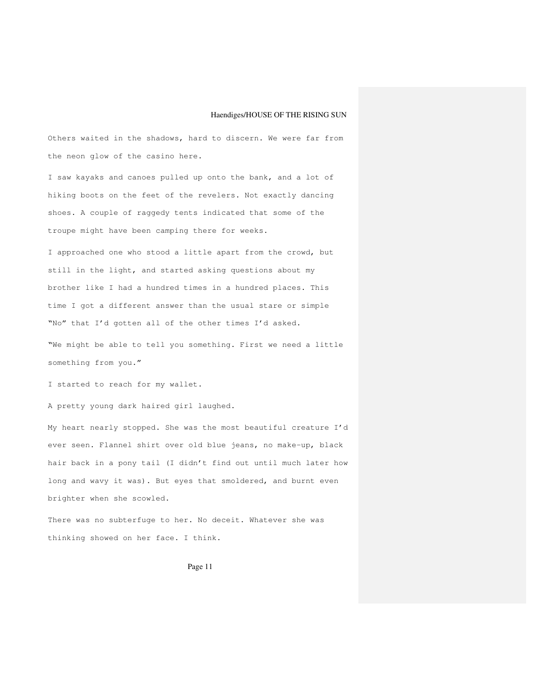Others waited in the shadows, hard to discern. We were far from the neon glow of the casino here.

I saw kayaks and canoes pulled up onto the bank, and a lot of hiking boots on the feet of the revelers. Not exactly dancing shoes. A couple of raggedy tents indicated that some of the troupe might have been camping there for weeks.

I approached one who stood a little apart from the crowd, but still in the light, and started asking questions about my brother like I had a hundred times in a hundred places. This time I got a different answer than the usual stare or simple "No" that I'd gotten all of the other times I'd asked.

"We might be able to tell you something. First we need a little something from you."

I started to reach for my wallet.

A pretty young dark haired girl laughed.

My heart nearly stopped. She was the most beautiful creature I'd ever seen. Flannel shirt over old blue jeans, no make-up, black hair back in a pony tail (I didn't find out until much later how long and wavy it was). But eyes that smoldered, and burnt even brighter when she scowled.

There was no subterfuge to her. No deceit. Whatever she was thinking showed on her face. I think.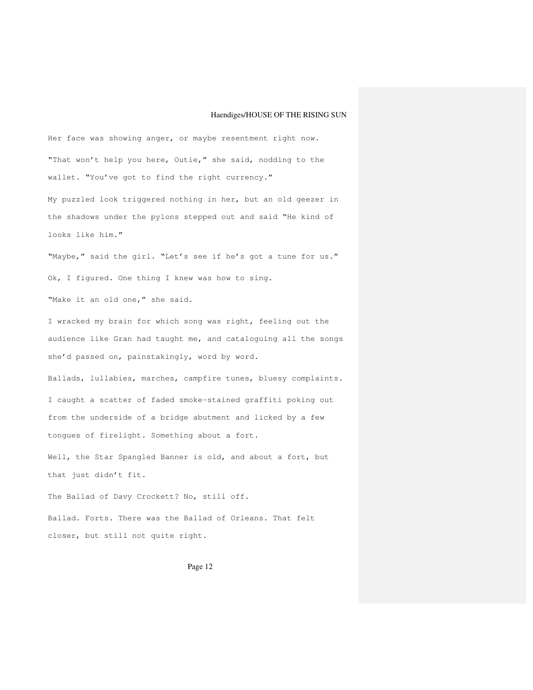Her face was showing anger, or maybe resentment right now. "That won't help you here, Outie," she said, nodding to the wallet. "You've got to find the right currency." My puzzled look triggered nothing in her, but an old geezer in the shadows under the pylons stepped out and said "He kind of looks like him." "Maybe," said the girl. "Let's see if he's got a tune for us." Ok, I figured. One thing I knew was how to sing. "Make it an old one," she said. I wracked my brain for which song was right, feeling out the audience like Gran had taught me, and cataloguing all the songs she'd passed on, painstakingly, word by word. Ballads, lullabies, marches, campfire tunes, bluesy complaints. I caught a scatter of faded smoke-stained graffiti poking out from the underside of a bridge abutment and licked by a few tongues of firelight. Something about a fort. Well, the Star Spangled Banner is old, and about a fort, but

that just didn't fit.

The Ballad of Davy Crockett? No, still off. Ballad. Forts. There was the Ballad of Orleans. That felt closer, but still not quite right.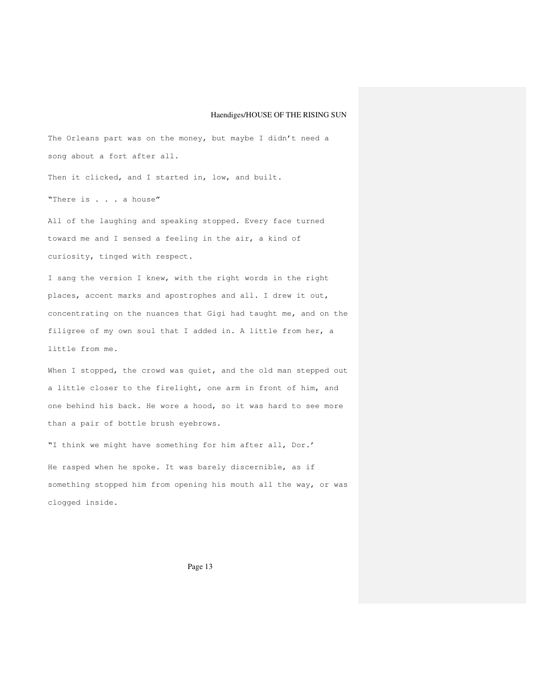The Orleans part was on the money, but maybe I didn't need a song about a fort after all.

Then it clicked, and I started in, low, and built.

"There is . . . a house"

All of the laughing and speaking stopped. Every face turned toward me and I sensed a feeling in the air, a kind of curiosity, tinged with respect.

I sang the version I knew, with the right words in the right places, accent marks and apostrophes and all. I drew it out, concentrating on the nuances that Gigi had taught me, and on the filigree of my own soul that I added in. A little from her, a little from me.

When I stopped, the crowd was quiet, and the old man stepped out a little closer to the firelight, one arm in front of him, and one behind his back. He wore a hood, so it was hard to see more than a pair of bottle brush eyebrows.

"I think we might have something for him after all, Dor.' He rasped when he spoke. It was barely discernible, as if something stopped him from opening his mouth all the way, or was clogged inside.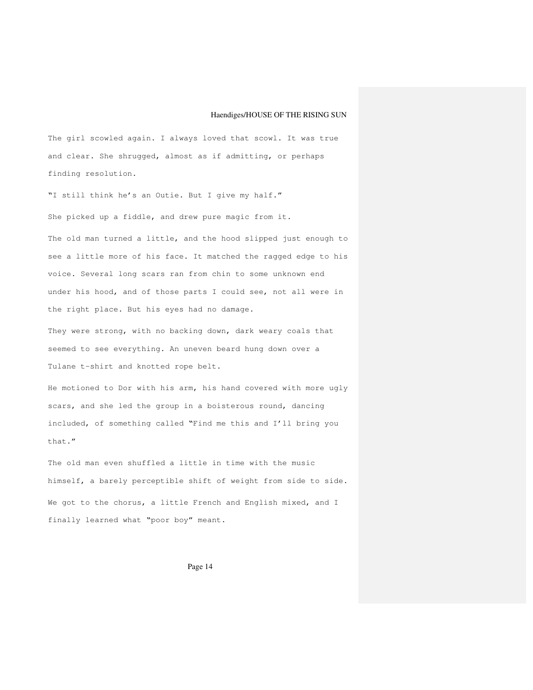The girl scowled again. I always loved that scowl. It was true and clear. She shrugged, almost as if admitting, or perhaps finding resolution.

"I still think he's an Outie. But I give my half." She picked up a fiddle, and drew pure magic from it. The old man turned a little, and the hood slipped just enough to see a little more of his face. It matched the ragged edge to his voice. Several long scars ran from chin to some unknown end under his hood, and of those parts I could see, not all were in the right place. But his eyes had no damage.

They were strong, with no backing down, dark weary coals that seemed to see everything. An uneven beard hung down over a Tulane t-shirt and knotted rope belt.

He motioned to Dor with his arm, his hand covered with more ugly scars, and she led the group in a boisterous round, dancing included, of something called "Find me this and I'll bring you that."

The old man even shuffled a little in time with the music himself, a barely perceptible shift of weight from side to side. We got to the chorus, a little French and English mixed, and I finally learned what "poor boy" meant.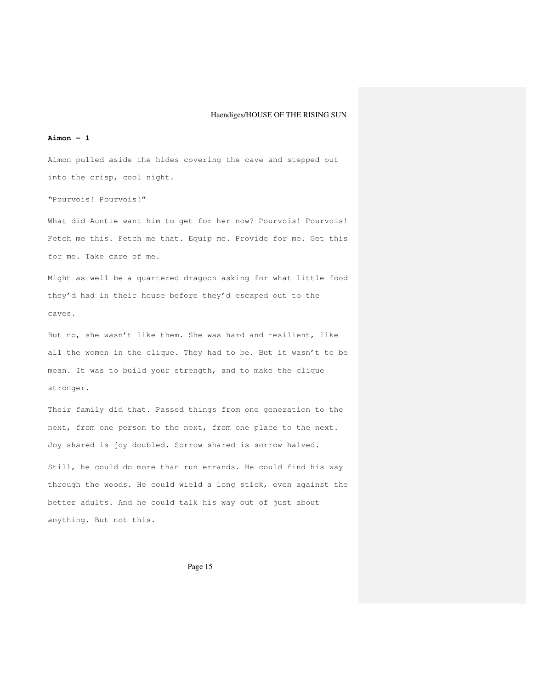#### **Aimon - 1**

Aimon pulled aside the hides covering the cave and stepped out into the crisp, cool night.

"Pourvois! Pourvois!"

What did Auntie want him to get for her now? Pourvois! Pourvois! Fetch me this. Fetch me that. Equip me. Provide for me. Get this for me. Take care of me.

Might as well be a quartered dragoon asking for what little food they'd had in their house before they'd escaped out to the caves.

But no, she wasn't like them. She was hard and resilient, like all the women in the clique. They had to be. But it wasn't to be mean. It was to build your strength, and to make the clique stronger.

Their family did that. Passed things from one generation to the next, from one person to the next, from one place to the next. Joy shared is joy doubled. Sorrow shared is sorrow halved. Still, he could do more than run errands. He could find his way through the woods. He could wield a long stick, even against the better adults. And he could talk his way out of just about anything. But not this.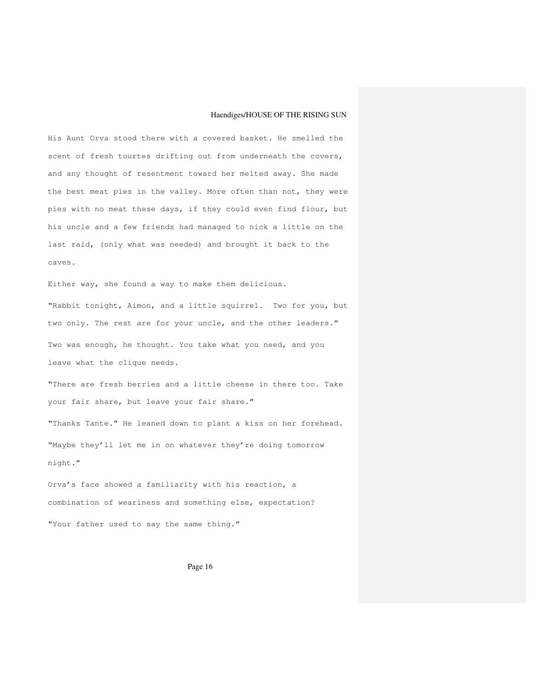His Aunt Orva stood there with a covered basket. He smelled the scent of fresh tourtes drifting out from underneath the covers, and any thought of resentment toward her melted away. She made the best meat pies in the valley. More often than not, they were pies with no meat these days, if they could even find flour, but his uncle and a few friends had managed to nick a little on the last raid, (only what was needed) and brought it back to the caves.

Either way, she found a way to make them delicious.

"Rabbit tonight, Aimon, and a little squirrel. Two for you, but two only. The rest are for your uncle, and the other leaders." Two was enough, he thought. You take what you need, and you leave what the clique needs.

"There are fresh berries and a little cheese in there too. Take your fair share, but leave your fair share."

"Thanks Tante." He leaned down to plant a kiss on her forehead. "Maybe they'll let me in on whatever they're doing tomorrow night."

Orva's face showed a familiarity with his reaction, a combination of weariness and something else, expectation? "Your father used to say the same thing."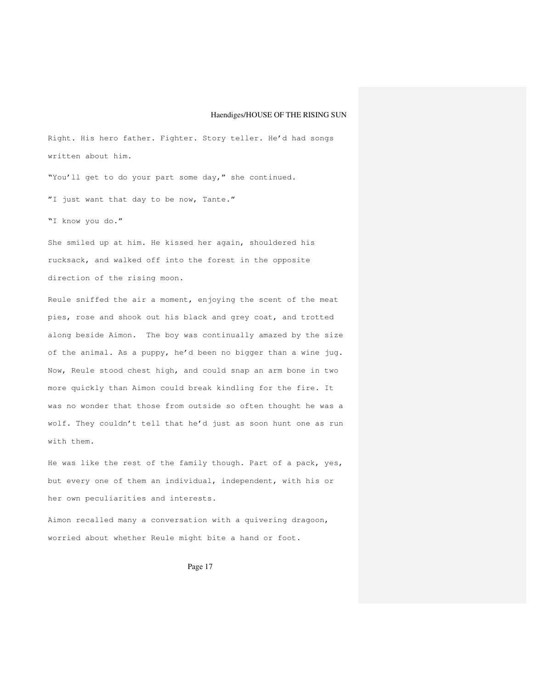Right. His hero father. Fighter. Story teller. He'd had songs written about him.

"You'll get to do your part some day," she continued.

"I just want that day to be now, Tante."

"I know you do."

She smiled up at him. He kissed her again, shouldered his rucksack, and walked off into the forest in the opposite direction of the rising moon.

Reule sniffed the air a moment, enjoying the scent of the meat pies, rose and shook out his black and grey coat, and trotted along beside Aimon. The boy was continually amazed by the size of the animal. As a puppy, he'd been no bigger than a wine jug. Now, Reule stood chest high, and could snap an arm bone in two more quickly than Aimon could break kindling for the fire. It was no wonder that those from outside so often thought he was a wolf. They couldn't tell that he'd just as soon hunt one as run with them.

He was like the rest of the family though. Part of a pack, yes, but every one of them an individual, independent, with his or her own peculiarities and interests.

Aimon recalled many a conversation with a quivering dragoon, worried about whether Reule might bite a hand or foot.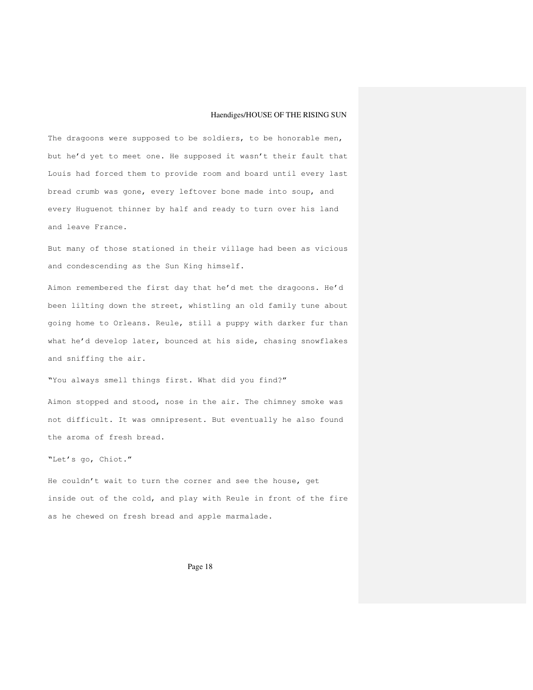The dragoons were supposed to be soldiers, to be honorable men, but he'd yet to meet one. He supposed it wasn't their fault that Louis had forced them to provide room and board until every last bread crumb was gone, every leftover bone made into soup, and every Huguenot thinner by half and ready to turn over his land and leave France.

But many of those stationed in their village had been as vicious and condescending as the Sun King himself.

Aimon remembered the first day that he'd met the dragoons. He'd been lilting down the street, whistling an old family tune about going home to Orleans. Reule, still a puppy with darker fur than what he'd develop later, bounced at his side, chasing snowflakes and sniffing the air.

"You always smell things first. What did you find?"

Aimon stopped and stood, nose in the air. The chimney smoke was not difficult. It was omnipresent. But eventually he also found the aroma of fresh bread.

"Let's go, Chiot."

He couldn't wait to turn the corner and see the house, get inside out of the cold, and play with Reule in front of the fire as he chewed on fresh bread and apple marmalade.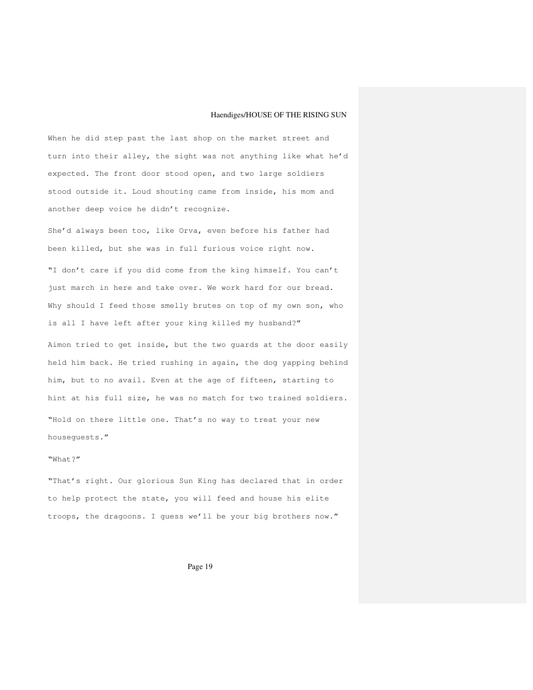When he did step past the last shop on the market street and turn into their alley, the sight was not anything like what he'd expected. The front door stood open, and two large soldiers stood outside it. Loud shouting came from inside, his mom and another deep voice he didn't recognize.

She'd always been too, like Orva, even before his father had been killed, but she was in full furious voice right now. "I don't care if you did come from the king himself. You can't just march in here and take over. We work hard for our bread. Why should I feed those smelly brutes on top of my own son, who is all I have left after your king killed my husband?" Aimon tried to get inside, but the two guards at the door easily

held him back. He tried rushing in again, the dog yapping behind him, but to no avail. Even at the age of fifteen, starting to hint at his full size, he was no match for two trained soldiers. "Hold on there little one. That's no way to treat your new houseguests."

## "What?"

"That's right. Our glorious Sun King has declared that in order to help protect the state, you will feed and house his elite troops, the dragoons. I guess we'll be your big brothers now."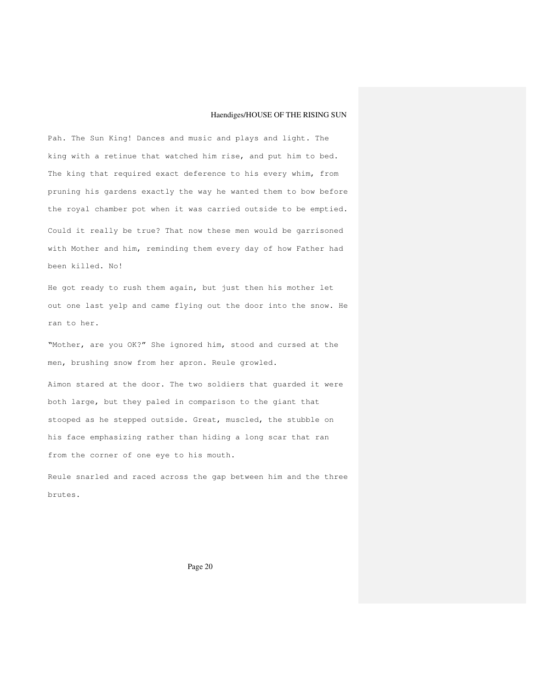Pah. The Sun King! Dances and music and plays and light. The king with a retinue that watched him rise, and put him to bed. The king that required exact deference to his every whim, from pruning his gardens exactly the way he wanted them to bow before the royal chamber pot when it was carried outside to be emptied. Could it really be true? That now these men would be garrisoned with Mother and him, reminding them every day of how Father had been killed. No!

He got ready to rush them again, but just then his mother let out one last yelp and came flying out the door into the snow. He ran to her.

"Mother, are you OK?" She ignored him, stood and cursed at the men, brushing snow from her apron. Reule growled.

Aimon stared at the door. The two soldiers that guarded it were both large, but they paled in comparison to the giant that stooped as he stepped outside. Great, muscled, the stubble on his face emphasizing rather than hiding a long scar that ran from the corner of one eye to his mouth.

Reule snarled and raced across the gap between him and the three brutes.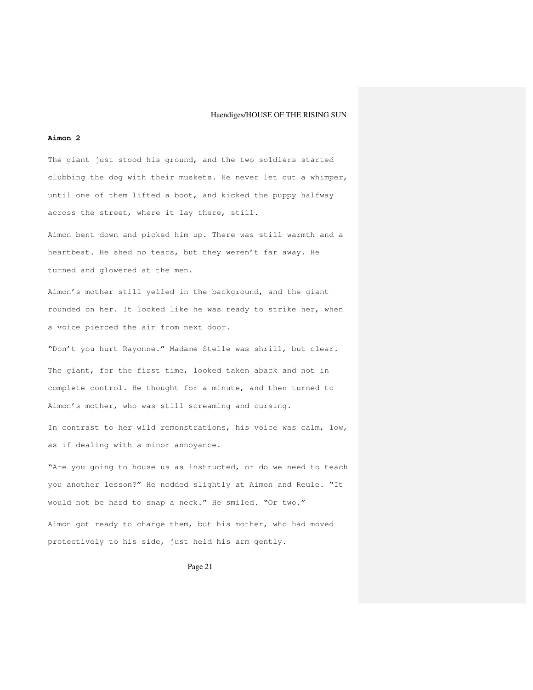#### **Aimon 2**

The giant just stood his ground, and the two soldiers started clubbing the dog with their muskets. He never let out a whimper, until one of them lifted a boot, and kicked the puppy halfway across the street, where it lay there, still.

Aimon bent down and picked him up. There was still warmth and a heartbeat. He shed no tears, but they weren't far away. He turned and glowered at the men.

Aimon's mother still yelled in the background, and the giant rounded on her. It looked like he was ready to strike her, when a voice pierced the air from next door.

"Don't you hurt Rayonne." Madame Stelle was shrill, but clear.

The giant, for the first time, looked taken aback and not in complete control. He thought for a minute, and then turned to Aimon's mother, who was still screaming and cursing.

In contrast to her wild remonstrations, his voice was calm, low, as if dealing with a minor annoyance.

"Are you going to house us as instructed, or do we need to teach you another lesson?" He nodded slightly at Aimon and Reule. "It would not be hard to snap a neck." He smiled. "Or two." Aimon got ready to charge them, but his mother, who had moved protectively to his side, just held his arm gently.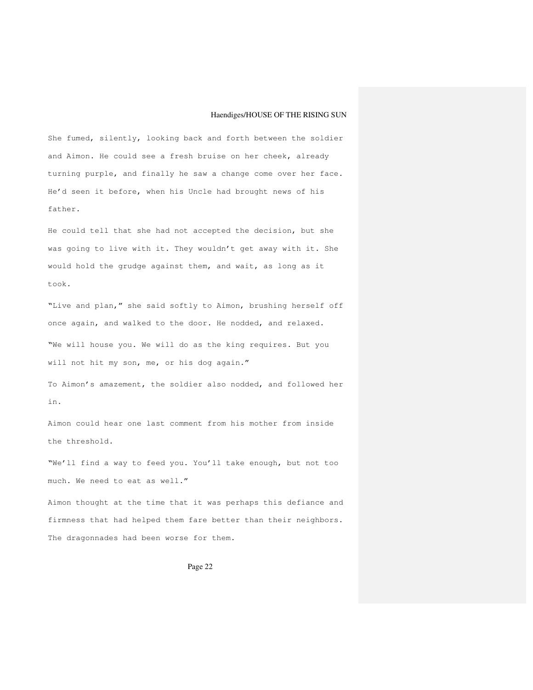She fumed, silently, looking back and forth between the soldier and Aimon. He could see a fresh bruise on her cheek, already turning purple, and finally he saw a change come over her face. He'd seen it before, when his Uncle had brought news of his father.

He could tell that she had not accepted the decision, but she was going to live with it. They wouldn't get away with it. She would hold the grudge against them, and wait, as long as it took.

"Live and plan," she said softly to Aimon, brushing herself off once again, and walked to the door. He nodded, and relaxed. "We will house you. We will do as the king requires. But you will not hit my son, me, or his dog again."

To Aimon's amazement, the soldier also nodded, and followed her in.

Aimon could hear one last comment from his mother from inside the threshold.

"We'll find a way to feed you. You'll take enough, but not too much. We need to eat as well."

Aimon thought at the time that it was perhaps this defiance and firmness that had helped them fare better than their neighbors. The dragonnades had been worse for them.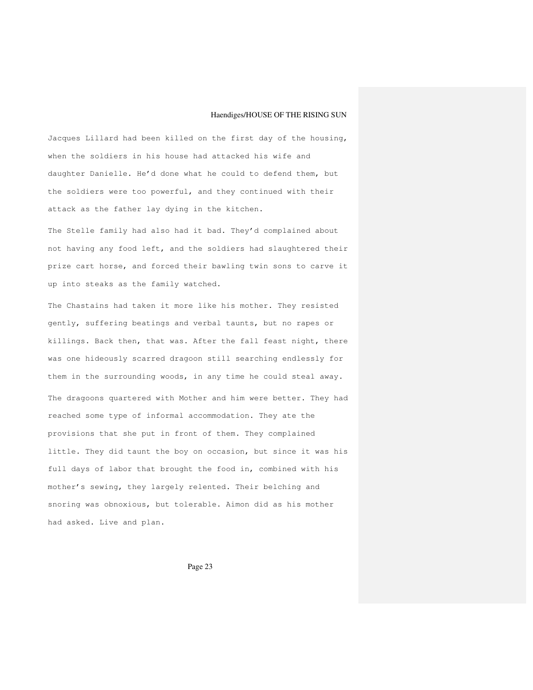Jacques Lillard had been killed on the first day of the housing, when the soldiers in his house had attacked his wife and daughter Danielle. He'd done what he could to defend them, but the soldiers were too powerful, and they continued with their attack as the father lay dying in the kitchen.

The Stelle family had also had it bad. They'd complained about not having any food left, and the soldiers had slaughtered their prize cart horse, and forced their bawling twin sons to carve it up into steaks as the family watched.

The Chastains had taken it more like his mother. They resisted gently, suffering beatings and verbal taunts, but no rapes or killings. Back then, that was. After the fall feast night, there was one hideously scarred dragoon still searching endlessly for them in the surrounding woods, in any time he could steal away. The dragoons quartered with Mother and him were better. They had reached some type of informal accommodation. They ate the provisions that she put in front of them. They complained little. They did taunt the boy on occasion, but since it was his full days of labor that brought the food in, combined with his mother's sewing, they largely relented. Their belching and snoring was obnoxious, but tolerable. Aimon did as his mother had asked. Live and plan.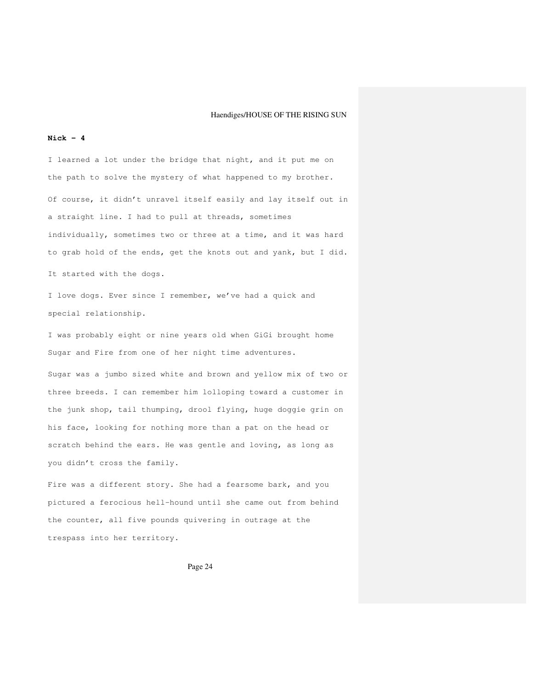## **Nick - 4**

I learned a lot under the bridge that night, and it put me on the path to solve the mystery of what happened to my brother. Of course, it didn't unravel itself easily and lay itself out in a straight line. I had to pull at threads, sometimes individually, sometimes two or three at a time, and it was hard to grab hold of the ends, get the knots out and yank, but I did. It started with the dogs.

I love dogs. Ever since I remember, we've had a quick and special relationship.

I was probably eight or nine years old when GiGi brought home Sugar and Fire from one of her night time adventures.

Sugar was a jumbo sized white and brown and yellow mix of two or three breeds. I can remember him lolloping toward a customer in the junk shop, tail thumping, drool flying, huge doggie grin on his face, looking for nothing more than a pat on the head or scratch behind the ears. He was gentle and loving, as long as you didn't cross the family.

Fire was a different story. She had a fearsome bark, and you pictured a ferocious hell-hound until she came out from behind the counter, all five pounds quivering in outrage at the trespass into her territory.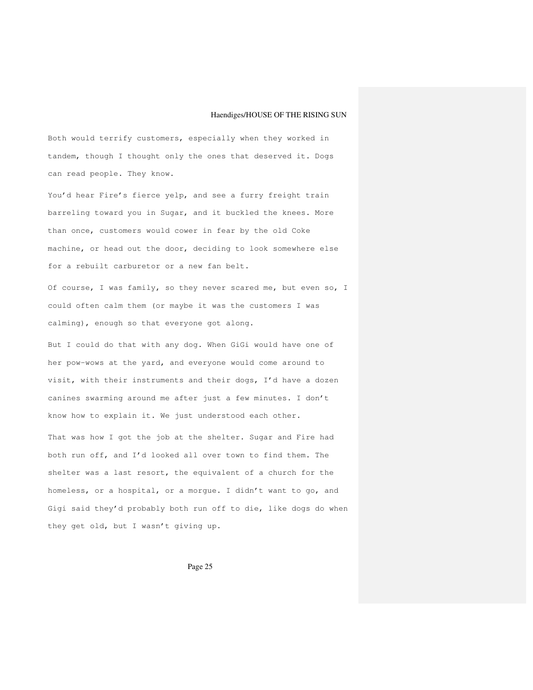Both would terrify customers, especially when they worked in tandem, though I thought only the ones that deserved it. Dogs can read people. They know.

You'd hear Fire's fierce yelp, and see a furry freight train barreling toward you in Sugar, and it buckled the knees. More than once, customers would cower in fear by the old Coke machine, or head out the door, deciding to look somewhere else for a rebuilt carburetor or a new fan belt.

Of course, I was family, so they never scared me, but even so, I could often calm them (or maybe it was the customers I was calming), enough so that everyone got along.

But I could do that with any dog. When GiGi would have one of her pow-wows at the yard, and everyone would come around to visit, with their instruments and their dogs, I'd have a dozen canines swarming around me after just a few minutes. I don't know how to explain it. We just understood each other. That was how I got the job at the shelter. Sugar and Fire had both run off, and I'd looked all over town to find them. The shelter was a last resort, the equivalent of a church for the homeless, or a hospital, or a morgue. I didn't want to go, and Gigi said they'd probably both run off to die, like dogs do when they get old, but I wasn't giving up.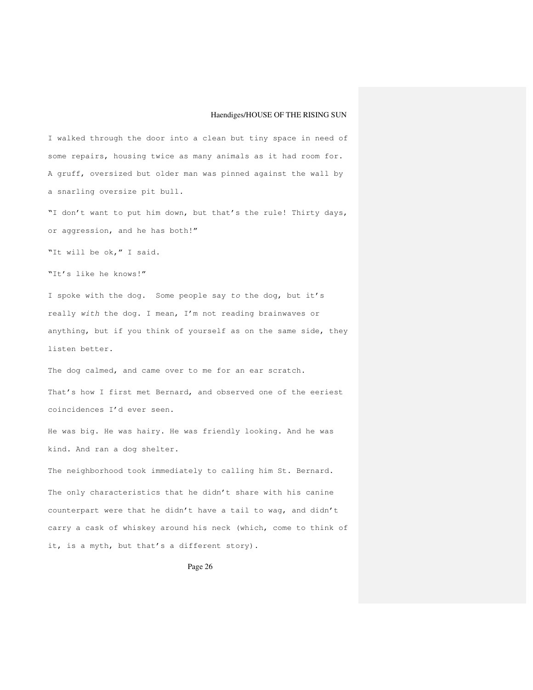I walked through the door into a clean but tiny space in need of some repairs, housing twice as many animals as it had room for. A gruff, oversized but older man was pinned against the wall by a snarling oversize pit bull.

"I don't want to put him down, but that's the rule! Thirty days, or aggression, and he has both!"

"It will be ok," I said.

"It's like he knows!"

I spoke with the dog. Some people say to the dog, but it's really with the dog. I mean, I'm not reading brainwaves or anything, but if you think of yourself as on the same side, they listen better.

The dog calmed, and came over to me for an ear scratch. That's how I first met Bernard, and observed one of the eeriest coincidences I'd ever seen.

He was big. He was hairy. He was friendly looking. And he was kind. And ran a dog shelter.

The neighborhood took immediately to calling him St. Bernard. The only characteristics that he didn't share with his canine counterpart were that he didn't have a tail to wag, and didn't carry a cask of whiskey around his neck (which, come to think of it, is a myth, but that's a different story).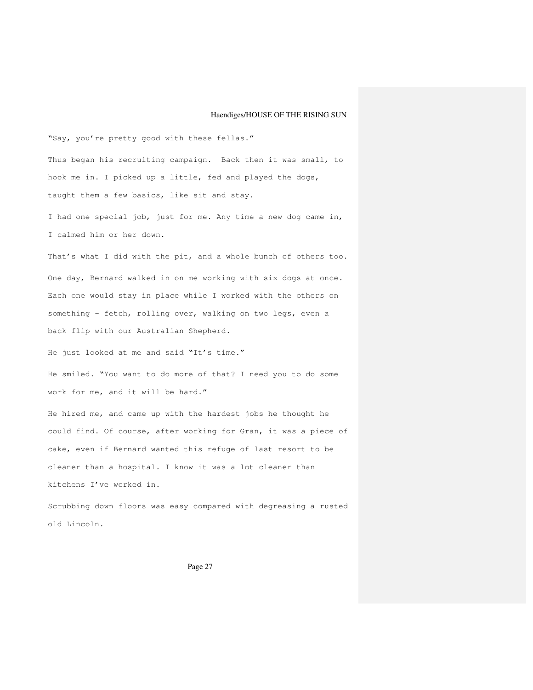"Say, you're pretty good with these fellas."

Thus began his recruiting campaign. Back then it was small, to hook me in. I picked up a little, fed and played the dogs, taught them a few basics, like sit and stay.

I had one special job, just for me. Any time a new dog came in, I calmed him or her down.

That's what I did with the pit, and a whole bunch of others too. One day, Bernard walked in on me working with six dogs at once. Each one would stay in place while I worked with the others on something – fetch, rolling over, walking on two legs, even a back flip with our Australian Shepherd.

He just looked at me and said "It's time."

He smiled. "You want to do more of that? I need you to do some work for me, and it will be hard."

He hired me, and came up with the hardest jobs he thought he could find. Of course, after working for Gran, it was a piece of cake, even if Bernard wanted this refuge of last resort to be cleaner than a hospital. I know it was a lot cleaner than kitchens I've worked in.

Scrubbing down floors was easy compared with degreasing a rusted old Lincoln.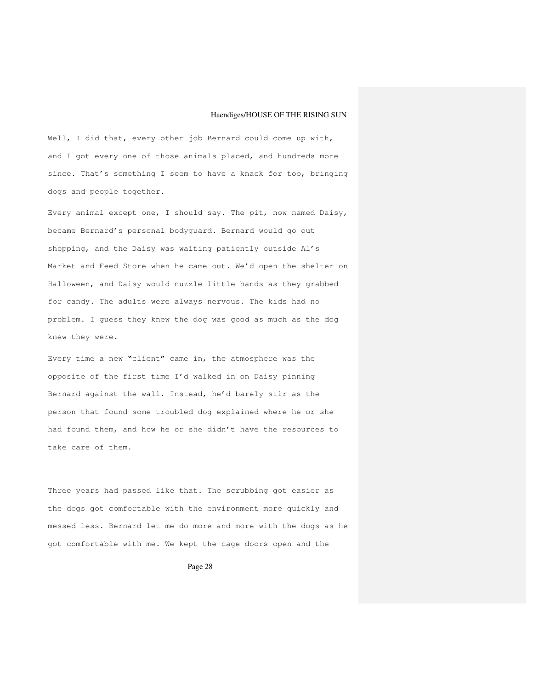Well, I did that, every other job Bernard could come up with, and I got every one of those animals placed, and hundreds more since. That's something I seem to have a knack for too, bringing dogs and people together.

Every animal except one, I should say. The pit, now named Daisy, became Bernard's personal bodyguard. Bernard would go out shopping, and the Daisy was waiting patiently outside Al's Market and Feed Store when he came out. We'd open the shelter on Halloween, and Daisy would nuzzle little hands as they grabbed for candy. The adults were always nervous. The kids had no problem. I guess they knew the dog was good as much as the dog knew they were.

Every time a new "client" came in, the atmosphere was the opposite of the first time I'd walked in on Daisy pinning Bernard against the wall. Instead, he'd barely stir as the person that found some troubled dog explained where he or she had found them, and how he or she didn't have the resources to take care of them.

Three years had passed like that. The scrubbing got easier as the dogs got comfortable with the environment more quickly and messed less. Bernard let me do more and more with the dogs as he got comfortable with me. We kept the cage doors open and the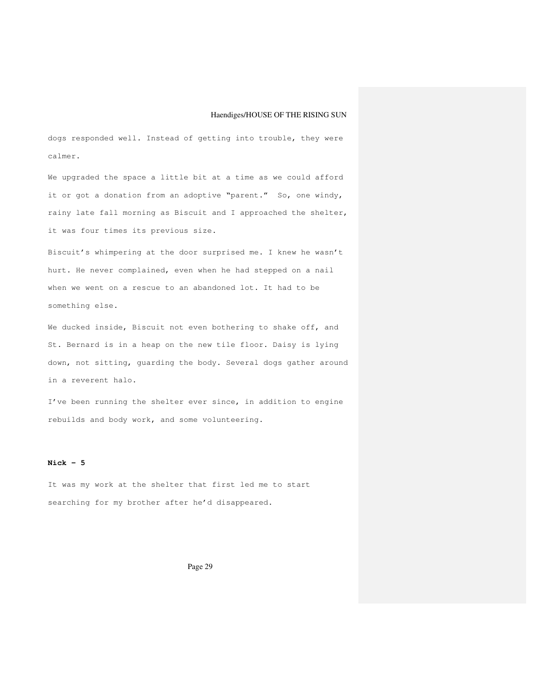dogs responded well. Instead of getting into trouble, they were calmer.

We upgraded the space a little bit at a time as we could afford it or got a donation from an adoptive "parent." So, one windy, rainy late fall morning as Biscuit and I approached the shelter, it was four times its previous size.

Biscuit's whimpering at the door surprised me. I knew he wasn't hurt. He never complained, even when he had stepped on a nail when we went on a rescue to an abandoned lot. It had to be something else.

We ducked inside, Biscuit not even bothering to shake off, and St. Bernard is in a heap on the new tile floor. Daisy is lying down, not sitting, guarding the body. Several dogs gather around in a reverent halo.

I've been running the shelter ever since, in addition to engine rebuilds and body work, and some volunteering.

## **Nick – 5**

It was my work at the shelter that first led me to start searching for my brother after he'd disappeared.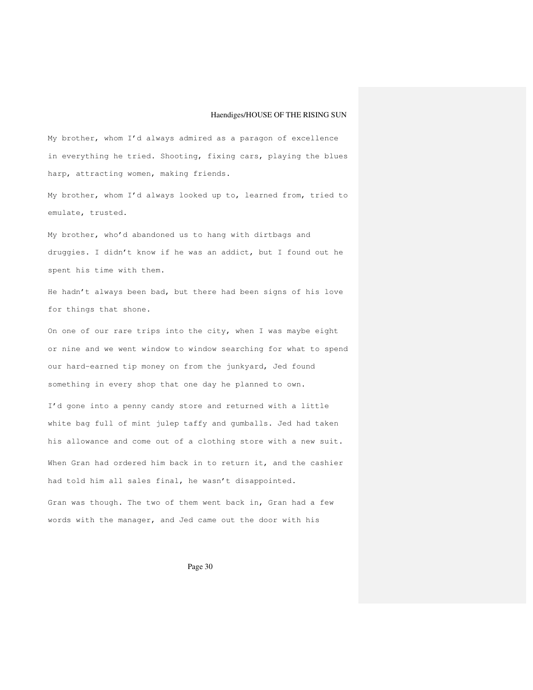My brother, whom I'd always admired as a paragon of excellence in everything he tried. Shooting, fixing cars, playing the blues harp, attracting women, making friends.

My brother, whom I'd always looked up to, learned from, tried to emulate, trusted.

My brother, who'd abandoned us to hang with dirtbags and druggies. I didn't know if he was an addict, but I found out he spent his time with them.

He hadn't always been bad, but there had been signs of his love for things that shone.

On one of our rare trips into the city, when I was maybe eight or nine and we went window to window searching for what to spend our hard-earned tip money on from the junkyard, Jed found something in every shop that one day he planned to own.

I'd gone into a penny candy store and returned with a little white bag full of mint julep taffy and gumballs. Jed had taken his allowance and come out of a clothing store with a new suit. When Gran had ordered him back in to return it, and the cashier had told him all sales final, he wasn't disappointed. Gran was though. The two of them went back in, Gran had a few

words with the manager, and Jed came out the door with his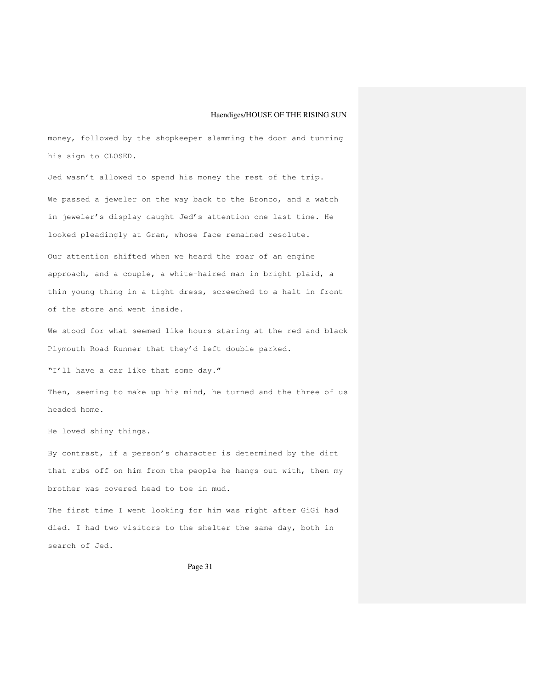money, followed by the shopkeeper slamming the door and tunring his sign to CLOSED.

Jed wasn't allowed to spend his money the rest of the trip. We passed a jeweler on the way back to the Bronco, and a watch in jeweler's display caught Jed's attention one last time. He looked pleadingly at Gran, whose face remained resolute.

Our attention shifted when we heard the roar of an engine approach, and a couple, a white-haired man in bright plaid, a thin young thing in a tight dress, screeched to a halt in front of the store and went inside.

We stood for what seemed like hours staring at the red and black Plymouth Road Runner that they'd left double parked.

"I'll have a car like that some day."

Then, seeming to make up his mind, he turned and the three of us headed home.

He loved shiny things.

By contrast, if a person's character is determined by the dirt that rubs off on him from the people he hangs out with, then my brother was covered head to toe in mud.

The first time I went looking for him was right after GiGi had died. I had two visitors to the shelter the same day, both in search of Jed.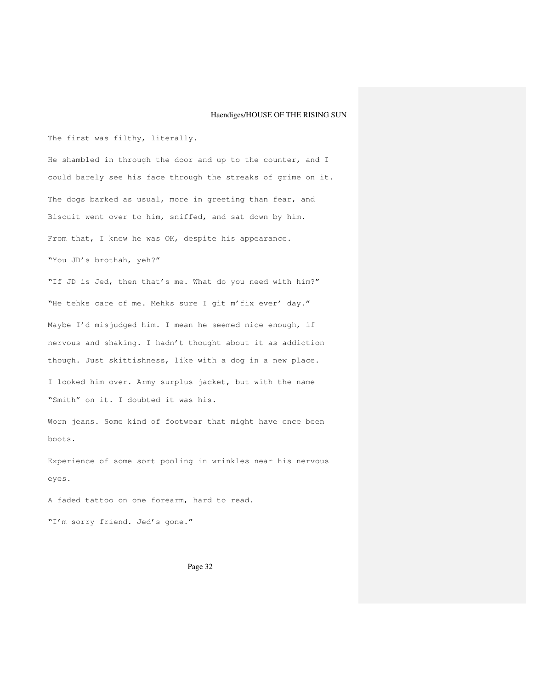The first was filthy, literally.

He shambled in through the door and up to the counter, and I could barely see his face through the streaks of grime on it. The dogs barked as usual, more in greeting than fear, and Biscuit went over to him, sniffed, and sat down by him. From that, I knew he was OK, despite his appearance. "You JD's brothah, yeh?" "If JD is Jed, then that's me. What do you need with him?" "He tehks care of me. Mehks sure I git m'fix ever' day."

Maybe I'd misjudged him. I mean he seemed nice enough, if nervous and shaking. I hadn't thought about it as addiction though. Just skittishness, like with a dog in a new place. I looked him over. Army surplus jacket, but with the name

"Smith" on it. I doubted it was his.

Worn jeans. Some kind of footwear that might have once been boots.

Experience of some sort pooling in wrinkles near his nervous eyes.

A faded tattoo on one forearm, hard to read. "I'm sorry friend. Jed's gone."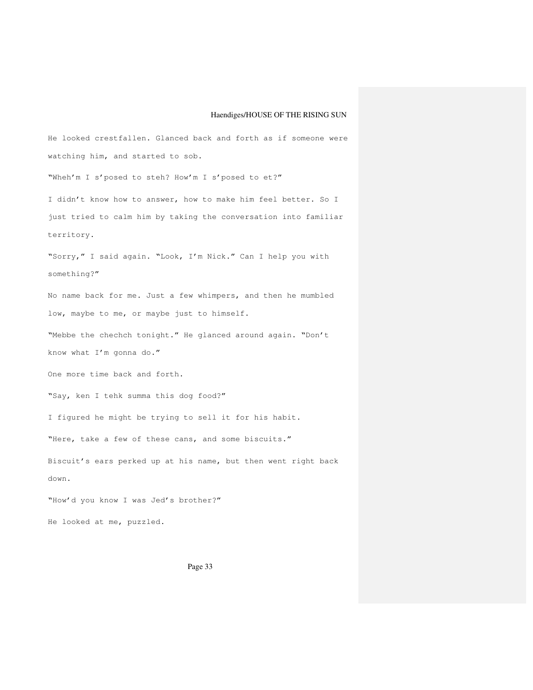He looked crestfallen. Glanced back and forth as if someone were watching him, and started to sob.

"Wheh'm I s'posed to steh? How'm I s'posed to et?"

I didn't know how to answer, how to make him feel better. So I just tried to calm him by taking the conversation into familiar territory.

"Sorry," I said again. "Look, I'm Nick." Can I help you with something?"

No name back for me. Just a few whimpers, and then he mumbled low, maybe to me, or maybe just to himself.

"Mebbe the chechch tonight." He glanced around again. "Don't know what I'm gonna do."

One more time back and forth.

"Say, ken I tehk summa this dog food?"

I figured he might be trying to sell it for his habit.

"Here, take a few of these cans, and some biscuits."

Biscuit's ears perked up at his name, but then went right back down.

"How'd you know I was Jed's brother?" He looked at me, puzzled.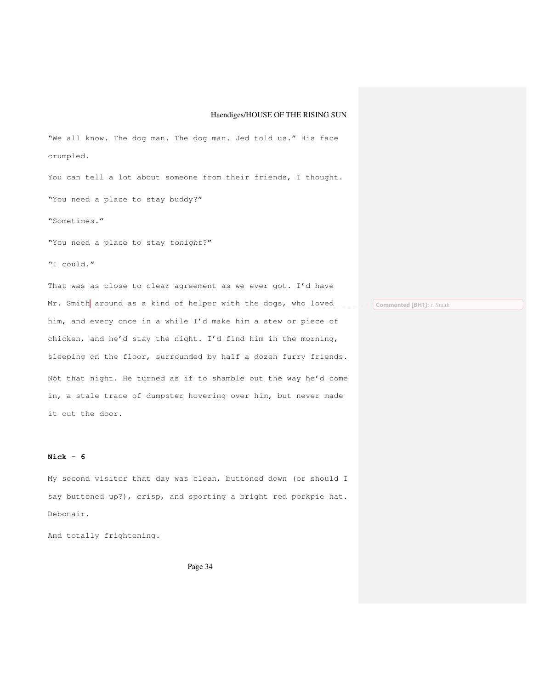crumpled. You can tell a lot about someone from their friends, I thought. "You need a place to stay buddy?" "Sometimes." "You need a place to stay tonight?" "I could."

"We all know. The dog man. The dog man. Jed told us." His face

That was as close to clear agreement as we ever got. I'd have Mr. Smith around as a kind of helper with the dogs, who loved him, and every once in a while I'd make him a stew or piece of chicken, and he'd stay the night. I'd find him in the morning, sleeping on the floor, surrounded by half a dozen furry friends. Not that night. He turned as if to shamble out the way he'd come in, a stale trace of dumpster hovering over him, but never made it out the door. **Commented [BH1]:** r. Smith

# **Nick – 6**

My second visitor that day was clean, buttoned down (or should I say buttoned up?), crisp, and sporting a bright red porkpie hat. Debonair.

And totally frightening.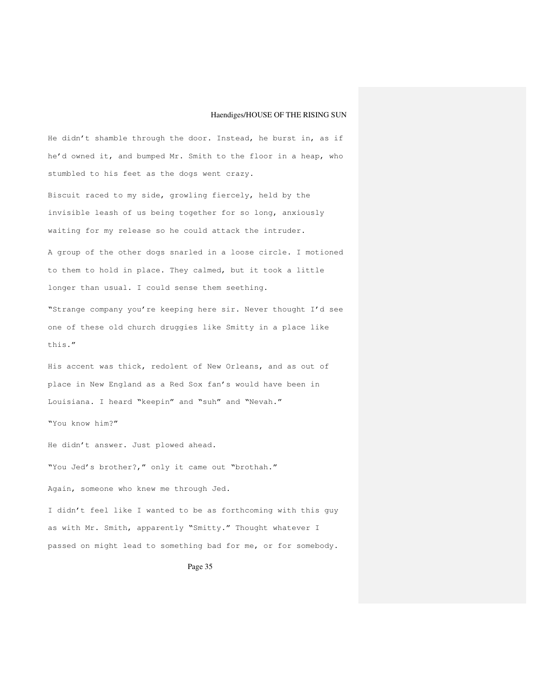He didn't shamble through the door. Instead, he burst in, as if he'd owned it, and bumped Mr. Smith to the floor in a heap, who stumbled to his feet as the dogs went crazy. Biscuit raced to my side, growling fiercely, held by the invisible leash of us being together for so long, anxiously waiting for my release so he could attack the intruder. A group of the other dogs snarled in a loose circle. I motioned to them to hold in place. They calmed, but it took a little longer than usual. I could sense them seething. "Strange company you're keeping here sir. Never thought I'd see one of these old church druggies like Smitty in a place like this." His accent was thick, redolent of New Orleans, and as out of place in New England as a Red Sox fan's would have been in Louisiana. I heard "keepin" and "suh" and "Nevah." "You know him?" He didn't answer. Just plowed ahead. "You Jed's brother?," only it came out "brothah." Again, someone who knew me through Jed. I didn't feel like I wanted to be as forthcoming with this guy as with Mr. Smith, apparently "Smitty." Thought whatever I

Page 35

passed on might lead to something bad for me, or for somebody.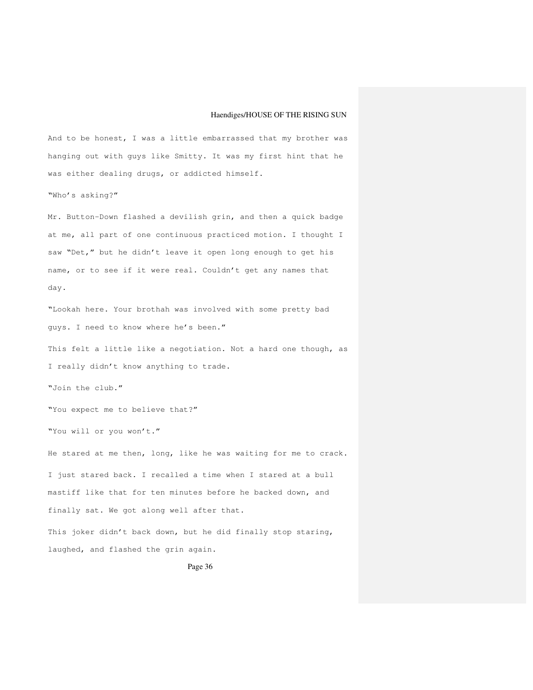And to be honest, I was a little embarrassed that my brother was hanging out with guys like Smitty. It was my first hint that he was either dealing drugs, or addicted himself.

"Who's asking?"

Mr. Button-Down flashed a devilish grin, and then a quick badge at me, all part of one continuous practiced motion. I thought I saw "Det," but he didn't leave it open long enough to get his name, or to see if it were real. Couldn't get any names that day.

"Lookah here. Your brothah was involved with some pretty bad guys. I need to know where he's been."

This felt a little like a negotiation. Not a hard one though, as I really didn't know anything to trade.

"Join the club."

"You expect me to believe that?"

"You will or you won't."

He stared at me then, long, like he was waiting for me to crack. I just stared back. I recalled a time when I stared at a bull mastiff like that for ten minutes before he backed down, and finally sat. We got along well after that.

This joker didn't back down, but he did finally stop staring, laughed, and flashed the grin again.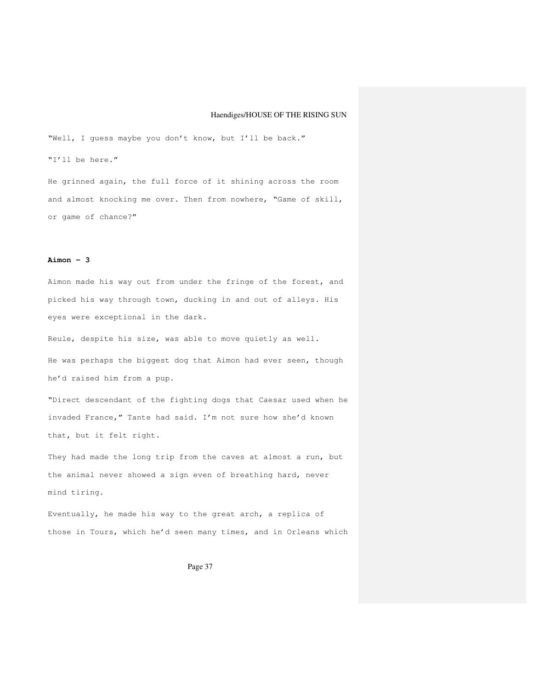"Well, I guess maybe you don't know, but I'll be back." "I'll be here."

He grinned again, the full force of it shining across the room and almost knocking me over. Then from nowhere, "Game of skill, or game of chance?"

### **Aimon - 3**

Aimon made his way out from under the fringe of the forest, and picked his way through town, ducking in and out of alleys. His eyes were exceptional in the dark.

Reule, despite his size, was able to move quietly as well. He was perhaps the biggest dog that Aimon had ever seen, though he'd raised him from a pup.

"Direct descendant of the fighting dogs that Caesar used when he invaded France," Tante had said. I'm not sure how she'd known that, but it felt right.

They had made the long trip from the caves at almost a run, but the animal never showed a sign even of breathing hard, never mind tiring.

Eventually, he made his way to the great arch, a replica of those in Tours, which he'd seen many times, and in Orleans which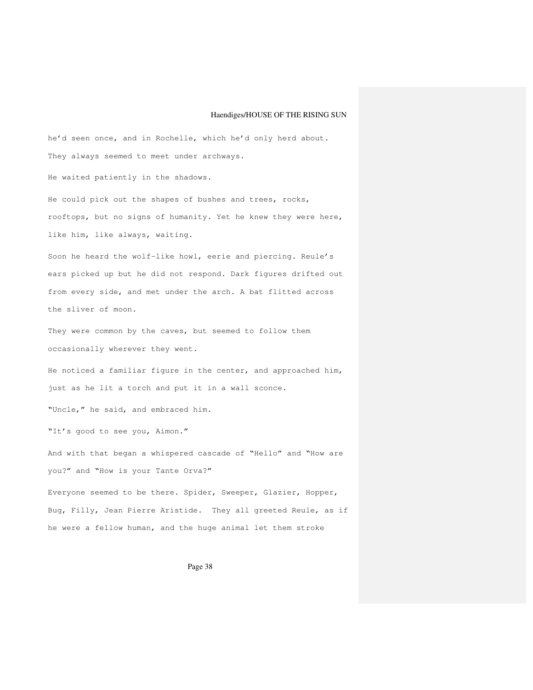he'd seen once, and in Rochelle, which he'd only herd about. They always seemed to meet under archways. He waited patiently in the shadows. He could pick out the shapes of bushes and trees, rocks, rooftops, but no signs of humanity. Yet he knew they were here, like him, like always, waiting. Soon he heard the wolf-like howl, eerie and piercing. Reule's ears picked up but he did not respond. Dark figures drifted out from every side, and met under the arch. A bat flitted across the sliver of moon. They were common by the caves, but seemed to follow them occasionally wherever they went. He noticed a familiar figure in the center, and approached him, just as he lit a torch and put it in a wall sconce. "Uncle," he said, and embraced him. "It's good to see you, Aimon." And with that began a whispered cascade of "Hello" and "How are you?" and "How is your Tante Orva?" Everyone seemed to be there. Spider, Sweeper, Glazier, Hopper, Bug, Filly, Jean Pierre Aristide. They all greeted Reule, as if he were a fellow human, and the huge animal let them stroke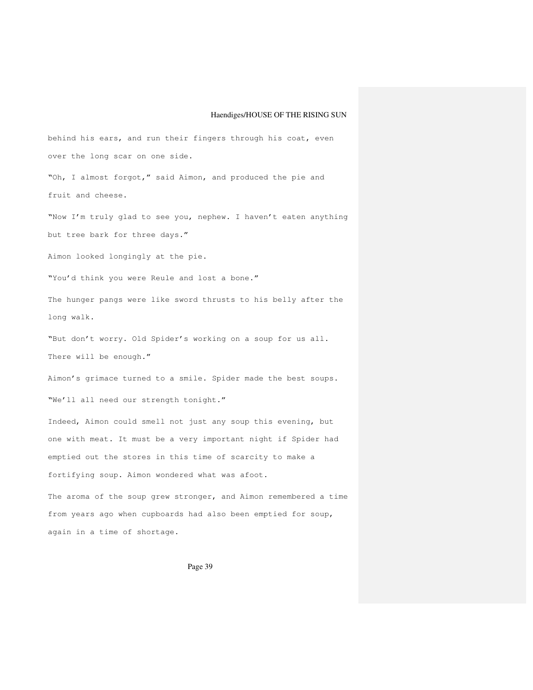behind his ears, and run their fingers through his coat, even over the long scar on one side.

"Oh, I almost forgot," said Aimon, and produced the pie and fruit and cheese.

"Now I'm truly glad to see you, nephew. I haven't eaten anything but tree bark for three days."

Aimon looked longingly at the pie.

"You'd think you were Reule and lost a bone."

The hunger pangs were like sword thrusts to his belly after the long walk.

"But don't worry. Old Spider's working on a soup for us all. There will be enough."

Aimon's grimace turned to a smile. Spider made the best soups. "We'll all need our strength tonight."

Indeed, Aimon could smell not just any soup this evening, but one with meat. It must be a very important night if Spider had emptied out the stores in this time of scarcity to make a fortifying soup. Aimon wondered what was afoot.

The aroma of the soup grew stronger, and Aimon remembered a time from years ago when cupboards had also been emptied for soup, again in a time of shortage.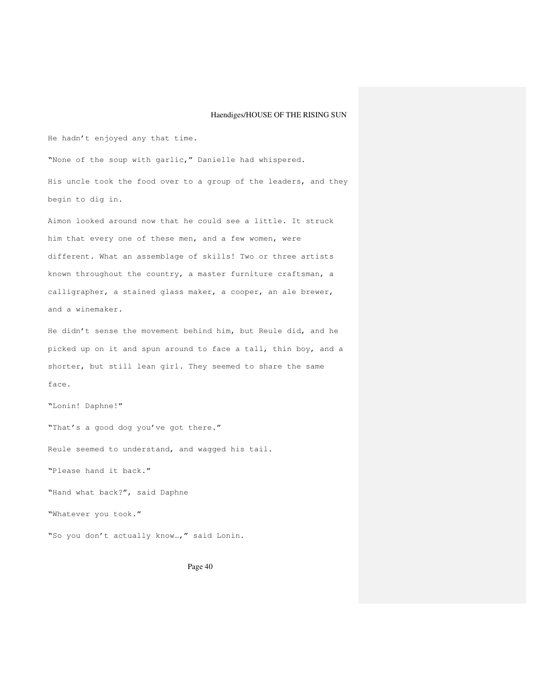He hadn't enjoyed any that time.

"None of the soup with garlic," Danielle had whispered.

His uncle took the food over to a group of the leaders, and they begin to dig in.

Aimon looked around now that he could see a little. It struck him that every one of these men, and a few women, were different. What an assemblage of skills! Two or three artists known throughout the country, a master furniture craftsman, a calligrapher, a stained glass maker, a cooper, an ale brewer, and a winemaker.

He didn't sense the movement behind him, but Reule did, and he picked up on it and spun around to face a tall, thin boy, and a shorter, but still lean girl. They seemed to share the same face.

"That's a good dog you've got there." Reule seemed to understand, and wagged his tail. "Please hand it back." "Hand what back?", said Daphne "Whatever you took." "So you don't actually know…," said Lonin.

"Lonin! Daphne!"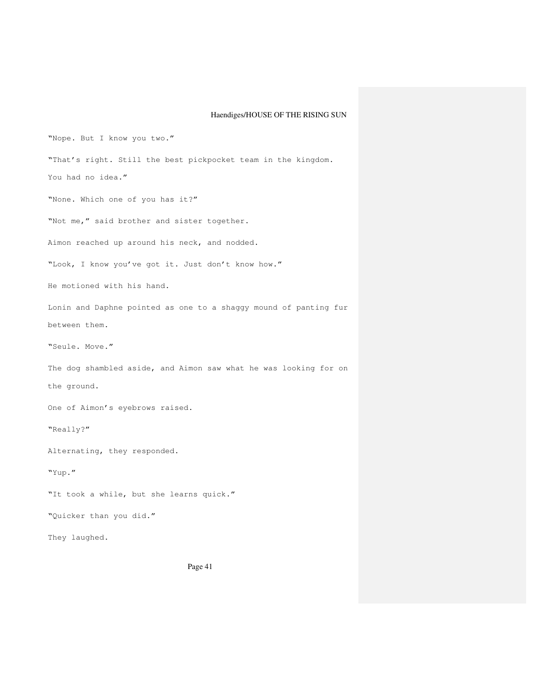"Nope. But I know you two." "That's right. Still the best pickpocket team in the kingdom. You had no idea." "None. Which one of you has it?" "Not me," said brother and sister together. Aimon reached up around his neck, and nodded. "Look, I know you've got it. Just don't know how." He motioned with his hand. Lonin and Daphne pointed as one to a shaggy mound of panting fur between them. "Seule. Move." The dog shambled aside, and Aimon saw what he was looking for on the ground. One of Aimon's eyebrows raised. "Really?" Alternating, they responded. "Yup." "It took a while, but she learns quick." "Quicker than you did." They laughed.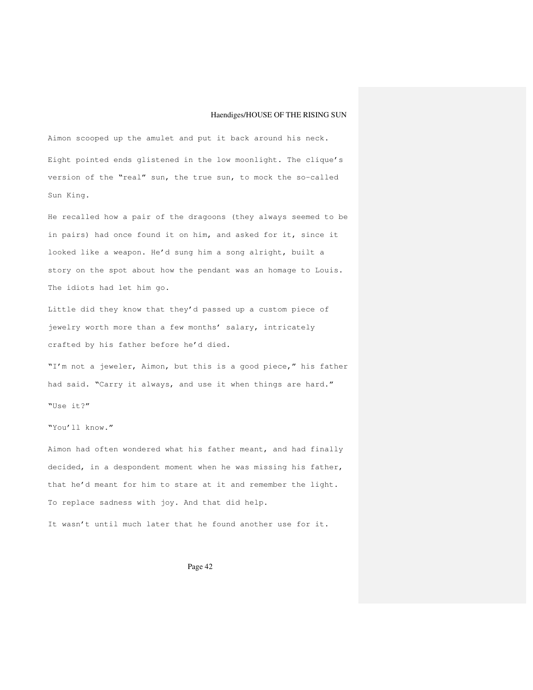Aimon scooped up the amulet and put it back around his neck. Eight pointed ends glistened in the low moonlight. The clique's version of the "real" sun, the true sun, to mock the so-called Sun King.

He recalled how a pair of the dragoons (they always seemed to be in pairs) had once found it on him, and asked for it, since it looked like a weapon. He'd sung him a song alright, built a story on the spot about how the pendant was an homage to Louis. The idiots had let him go.

Little did they know that they'd passed up a custom piece of jewelry worth more than a few months' salary, intricately crafted by his father before he'd died.

"I'm not a jeweler, Aimon, but this is a good piece," his father had said. "Carry it always, and use it when things are hard."

"Use it?"

"You'll know."

Aimon had often wondered what his father meant, and had finally decided, in a despondent moment when he was missing his father, that he'd meant for him to stare at it and remember the light. To replace sadness with joy. And that did help.

It wasn't until much later that he found another use for it.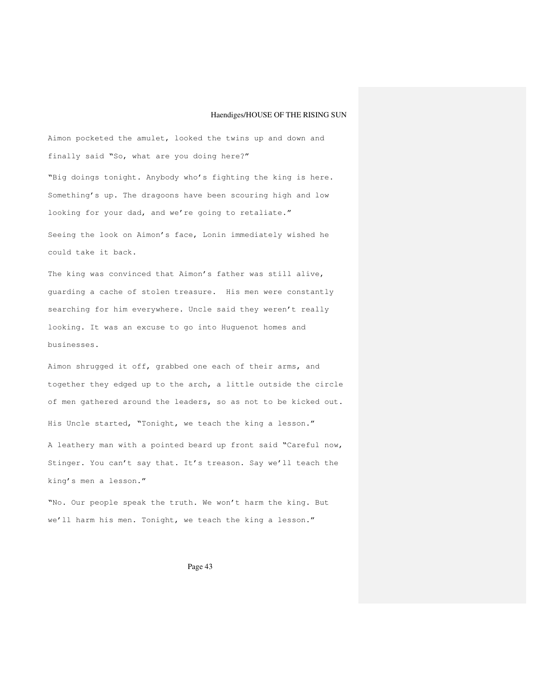Aimon pocketed the amulet, looked the twins up and down and finally said "So, what are you doing here?"

"Big doings tonight. Anybody who's fighting the king is here. Something's up. The dragoons have been scouring high and low looking for your dad, and we're going to retaliate."

Seeing the look on Aimon's face, Lonin immediately wished he could take it back.

The king was convinced that Aimon's father was still alive, guarding a cache of stolen treasure. His men were constantly searching for him everywhere. Uncle said they weren't really looking. It was an excuse to go into Huguenot homes and businesses.

Aimon shrugged it off, grabbed one each of their arms, and together they edged up to the arch, a little outside the circle of men gathered around the leaders, so as not to be kicked out. His Uncle started, "Tonight, we teach the king a lesson." A leathery man with a pointed beard up front said "Careful now, Stinger. You can't say that. It's treason. Say we'll teach the king's men a lesson."

"No. Our people speak the truth. We won't harm the king. But we'll harm his men. Tonight, we teach the king a lesson."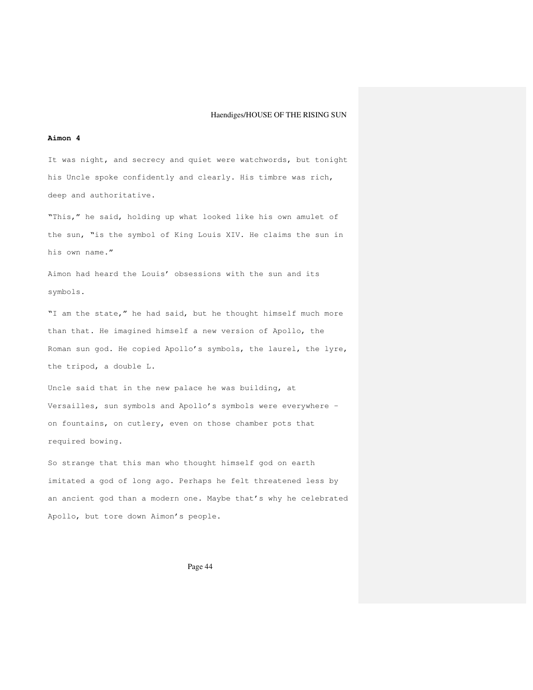#### **Aimon 4**

It was night, and secrecy and quiet were watchwords, but tonight his Uncle spoke confidently and clearly. His timbre was rich, deep and authoritative.

"This," he said, holding up what looked like his own amulet of the sun, "is the symbol of King Louis XIV. He claims the sun in his own name."

Aimon had heard the Louis' obsessions with the sun and its symbols.

"I am the state," he had said, but he thought himself much more than that. He imagined himself a new version of Apollo, the Roman sun god. He copied Apollo's symbols, the laurel, the lyre, the tripod, a double L.

Uncle said that in the new palace he was building, at Versailles, sun symbols and Apollo's symbols were everywhere – on fountains, on cutlery, even on those chamber pots that required bowing.

So strange that this man who thought himself god on earth imitated a god of long ago. Perhaps he felt threatened less by an ancient god than a modern one. Maybe that's why he celebrated Apollo, but tore down Aimon's people.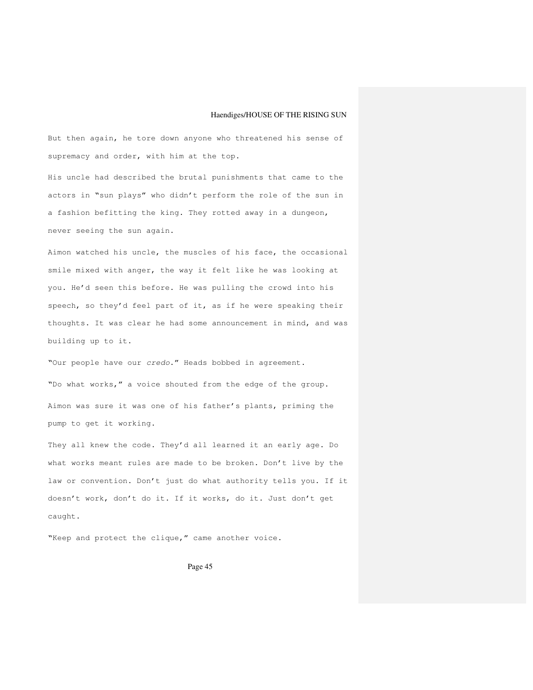But then again, he tore down anyone who threatened his sense of supremacy and order, with him at the top.

His uncle had described the brutal punishments that came to the actors in "sun plays" who didn't perform the role of the sun in a fashion befitting the king. They rotted away in a dungeon, never seeing the sun again.

Aimon watched his uncle, the muscles of his face, the occasional smile mixed with anger, the way it felt like he was looking at you. He'd seen this before. He was pulling the crowd into his speech, so they'd feel part of it, as if he were speaking their thoughts. It was clear he had some announcement in mind, and was building up to it.

"Our people have our credo." Heads bobbed in agreement. "Do what works," a voice shouted from the edge of the group. Aimon was sure it was one of his father's plants, priming the pump to get it working.

They all knew the code. They'd all learned it an early age. Do what works meant rules are made to be broken. Don't live by the law or convention. Don't just do what authority tells you. If it doesn't work, don't do it. If it works, do it. Just don't get caught.

"Keep and protect the clique," came another voice.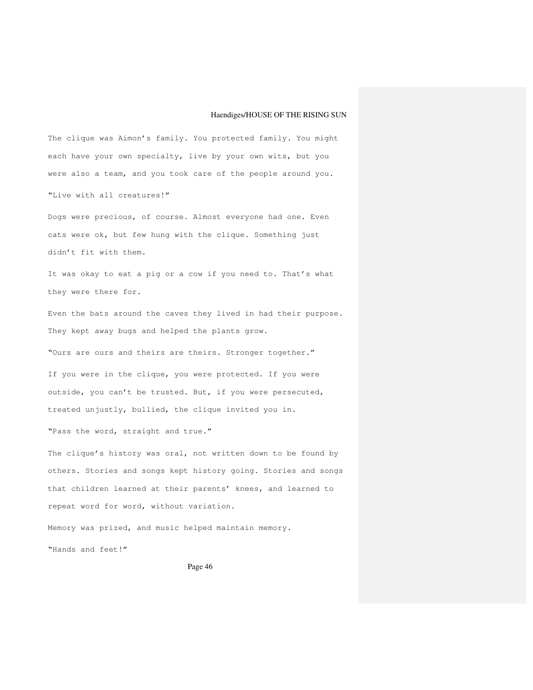The clique was Aimon's family. You protected family. You might each have your own specialty, live by your own wits, but you were also a team, and you took care of the people around you. "Live with all creatures!"

Dogs were precious, of course. Almost everyone had one. Even cats were ok, but few hung with the clique. Something just didn't fit with them.

It was okay to eat a pig or a cow if you need to. That's what they were there for.

Even the bats around the caves they lived in had their purpose. They kept away bugs and helped the plants grow. "Ours are ours and theirs are theirs. Stronger together." If you were in the clique, you were protected. If you were outside, you can't be trusted. But, if you were persecuted, treated unjustly, bullied, the clique invited you in.

"Pass the word, straight and true."

The clique's history was oral, not written down to be found by others. Stories and songs kept history going. Stories and songs that children learned at their parents' knees, and learned to repeat word for word, without variation.

Memory was prized, and music helped maintain memory.

"Hands and feet!"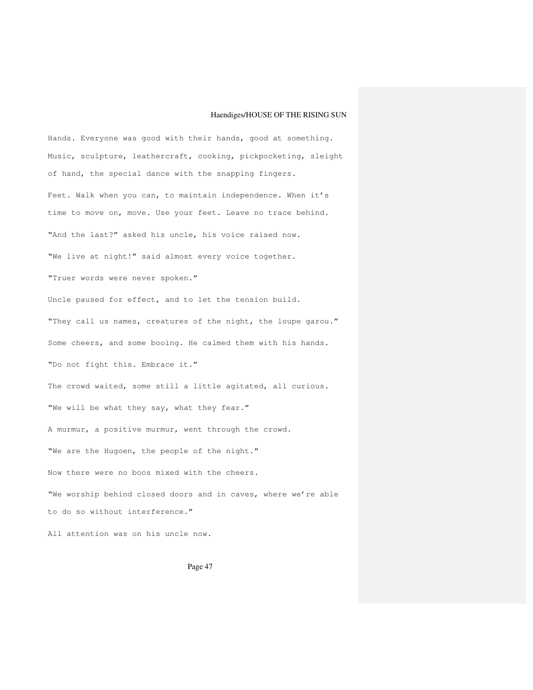Hands. Everyone was good with their hands, good at something. Music, sculpture, leathercraft, cooking, pickpocketing, sleight of hand, the special dance with the snapping fingers. Feet. Walk when you can, to maintain independence. When it's time to move on, move. Use your feet. Leave no trace behind. "And the last?" asked his uncle, his voice raised now. "We live at night!" said almost every voice together. "Truer words were never spoken." Uncle paused for effect, and to let the tension build. "They call us names, creatures of the night, the loupe garou." Some cheers, and some booing. He calmed them with his hands. "Do not fight this. Embrace it." The crowd waited, some still a little agitated, all curious. "We will be what they say, what they fear." A murmur, a positive murmur, went through the crowd. "We are the Hugoen, the people of the night." Now there were no boos mixed with the cheers. "We worship behind closed doors and in caves, where we're able to do so without interference." All attention was on his uncle now.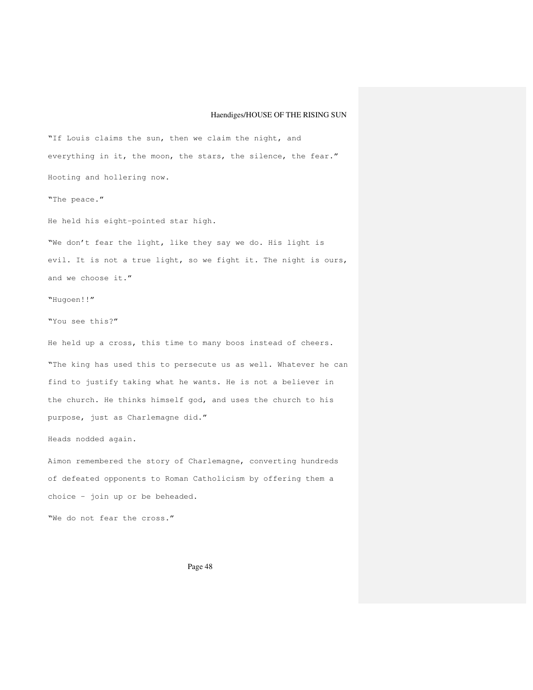"If Louis claims the sun, then we claim the night, and everything in it, the moon, the stars, the silence, the fear." Hooting and hollering now. "The peace." He held his eight-pointed star high. "We don't fear the light, like they say we do. His light is evil. It is not a true light, so we fight it. The night is ours, and we choose it." "Hugoen!!" "You see this?" He held up a cross, this time to many boos instead of cheers. "The king has used this to persecute us as well. Whatever he can find to justify taking what he wants. He is not a believer in the church. He thinks himself god, and uses the church to his purpose, just as Charlemagne did." Heads nodded again. Aimon remembered the story of Charlemagne, converting hundreds

of defeated opponents to Roman Catholicism by offering them a choice – join up or be beheaded.

"We do not fear the cross."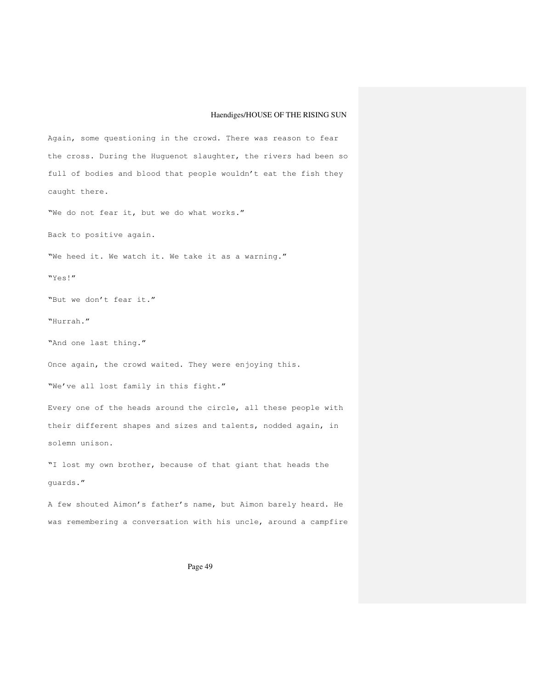Again, some questioning in the crowd. There was reason to fear the cross. During the Huguenot slaughter, the rivers had been so full of bodies and blood that people wouldn't eat the fish they caught there. "We do not fear it, but we do what works." Back to positive again. "We heed it. We watch it. We take it as a warning." "Yes!" "But we don't fear it." "Hurrah." "And one last thing." Once again, the crowd waited. They were enjoying this. "We've all lost family in this fight." Every one of the heads around the circle, all these people with their different shapes and sizes and talents, nodded again, in solemn unison. "I lost my own brother, because of that giant that heads the guards." A few shouted Aimon's father's name, but Aimon barely heard. He was remembering a conversation with his uncle, around a campfire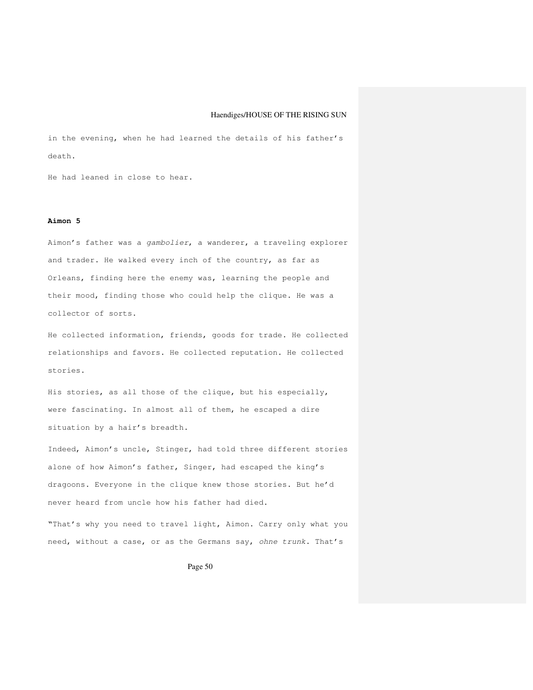in the evening, when he had learned the details of his father's death.

He had leaned in close to hear.

### **Aimon 5**

Aimon's father was a gambolier, a wanderer, a traveling explorer and trader. He walked every inch of the country, as far as Orleans, finding here the enemy was, learning the people and their mood, finding those who could help the clique. He was a collector of sorts.

He collected information, friends, goods for trade. He collected relationships and favors. He collected reputation. He collected stories.

His stories, as all those of the clique, but his especially, were fascinating. In almost all of them, he escaped a dire situation by a hair's breadth.

Indeed, Aimon's uncle, Stinger, had told three different stories alone of how Aimon's father, Singer, had escaped the king's dragoons. Everyone in the clique knew those stories. But he'd never heard from uncle how his father had died.

"That's why you need to travel light, Aimon. Carry only what you need, without a case, or as the Germans say, ohne trunk. That's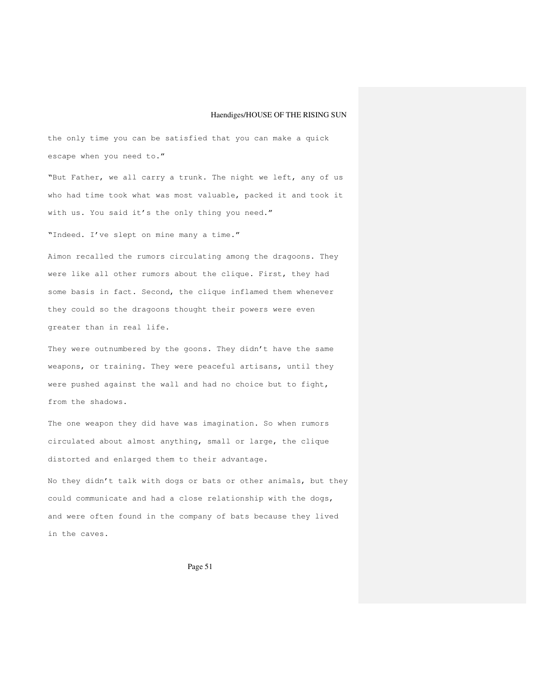the only time you can be satisfied that you can make a quick escape when you need to."

"But Father, we all carry a trunk. The night we left, any of us who had time took what was most valuable, packed it and took it with us. You said it's the only thing you need."

"Indeed. I've slept on mine many a time."

Aimon recalled the rumors circulating among the dragoons. They were like all other rumors about the clique. First, they had some basis in fact. Second, the clique inflamed them whenever they could so the dragoons thought their powers were even greater than in real life.

They were outnumbered by the goons. They didn't have the same weapons, or training. They were peaceful artisans, until they were pushed against the wall and had no choice but to fight, from the shadows.

The one weapon they did have was imagination. So when rumors circulated about almost anything, small or large, the clique distorted and enlarged them to their advantage.

No they didn't talk with dogs or bats or other animals, but they could communicate and had a close relationship with the dogs, and were often found in the company of bats because they lived in the caves.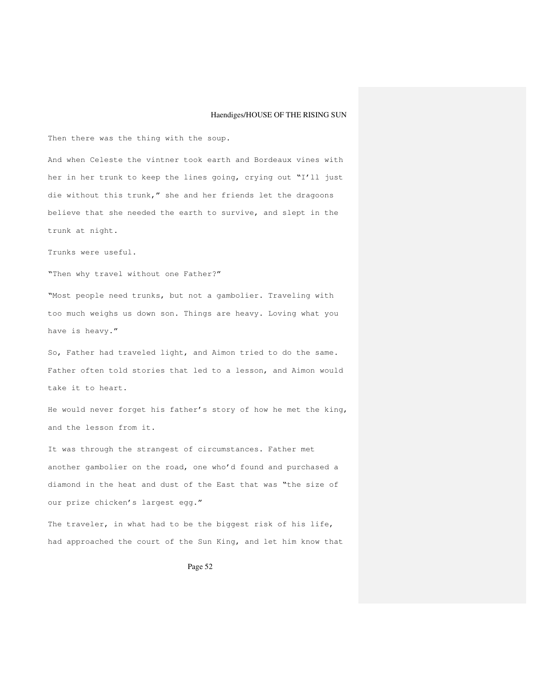Then there was the thing with the soup.

And when Celeste the vintner took earth and Bordeaux vines with her in her trunk to keep the lines going, crying out "I'll just die without this trunk," she and her friends let the dragoons believe that she needed the earth to survive, and slept in the trunk at night.

Trunks were useful.

"Then why travel without one Father?"

"Most people need trunks, but not a gambolier. Traveling with too much weighs us down son. Things are heavy. Loving what you have is heavy."

So, Father had traveled light, and Aimon tried to do the same. Father often told stories that led to a lesson, and Aimon would take it to heart.

He would never forget his father's story of how he met the king, and the lesson from it.

It was through the strangest of circumstances. Father met another gambolier on the road, one who'd found and purchased a diamond in the heat and dust of the East that was "the size of our prize chicken's largest egg."

The traveler, in what had to be the biggest risk of his life, had approached the court of the Sun King, and let him know that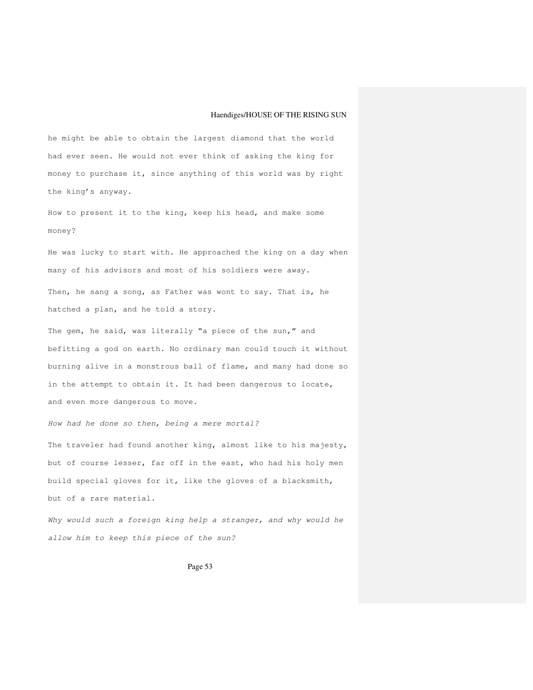he might be able to obtain the largest diamond that the world had ever seen. He would not ever think of asking the king for money to purchase it, since anything of this world was by right the king's anyway.

How to present it to the king, keep his head, and make some money?

He was lucky to start with. He approached the king on a day when many of his advisors and most of his soldiers were away.

Then, he sang a song, as Father was wont to say. That is, he hatched a plan, and he told a story.

The gem, he said, was literally "a piece of the sun," and befitting a god on earth. No ordinary man could touch it without burning alive in a monstrous ball of flame, and many had done so in the attempt to obtain it. It had been dangerous to locate, and even more dangerous to move.

The traveler had found another king, almost like to his majesty, but of course lesser, far off in the east, who had his holy men build special gloves for it, like the gloves of a blacksmith, but of a rare material.

How had he done so then, being a mere mortal?

Why would such a foreign king help a stranger, and why would he allow him to keep this piece of the sun?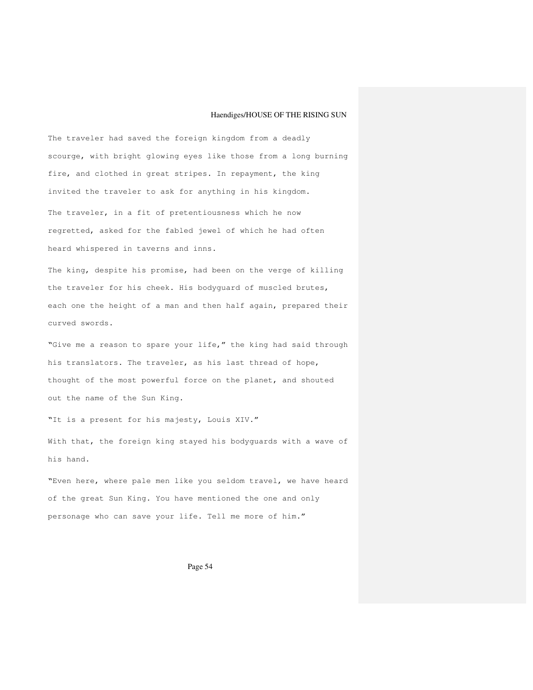The traveler had saved the foreign kingdom from a deadly scourge, with bright glowing eyes like those from a long burning fire, and clothed in great stripes. In repayment, the king invited the traveler to ask for anything in his kingdom. The traveler, in a fit of pretentiousness which he now regretted, asked for the fabled jewel of which he had often heard whispered in taverns and inns.

The king, despite his promise, had been on the verge of killing the traveler for his cheek. His bodyguard of muscled brutes, each one the height of a man and then half again, prepared their curved swords.

"Give me a reason to spare your life," the king had said through his translators. The traveler, as his last thread of hope, thought of the most powerful force on the planet, and shouted out the name of the Sun King.

"It is a present for his majesty, Louis XIV."

With that, the foreign king stayed his bodyguards with a wave of his hand.

"Even here, where pale men like you seldom travel, we have heard of the great Sun King. You have mentioned the one and only personage who can save your life. Tell me more of him."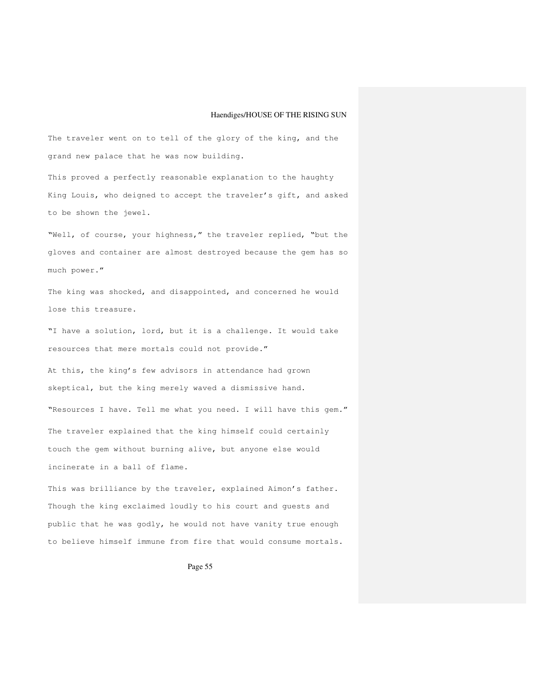The traveler went on to tell of the glory of the king, and the grand new palace that he was now building.

This proved a perfectly reasonable explanation to the haughty King Louis, who deigned to accept the traveler's gift, and asked to be shown the jewel.

"Well, of course, your highness," the traveler replied, "but the gloves and container are almost destroyed because the gem has so much power."

The king was shocked, and disappointed, and concerned he would lose this treasure.

"I have a solution, lord, but it is a challenge. It would take resources that mere mortals could not provide."

At this, the king's few advisors in attendance had grown skeptical, but the king merely waved a dismissive hand.

"Resources I have. Tell me what you need. I will have this gem." The traveler explained that the king himself could certainly touch the gem without burning alive, but anyone else would incinerate in a ball of flame.

This was brilliance by the traveler, explained Aimon's father. Though the king exclaimed loudly to his court and guests and public that he was godly, he would not have vanity true enough to believe himself immune from fire that would consume mortals.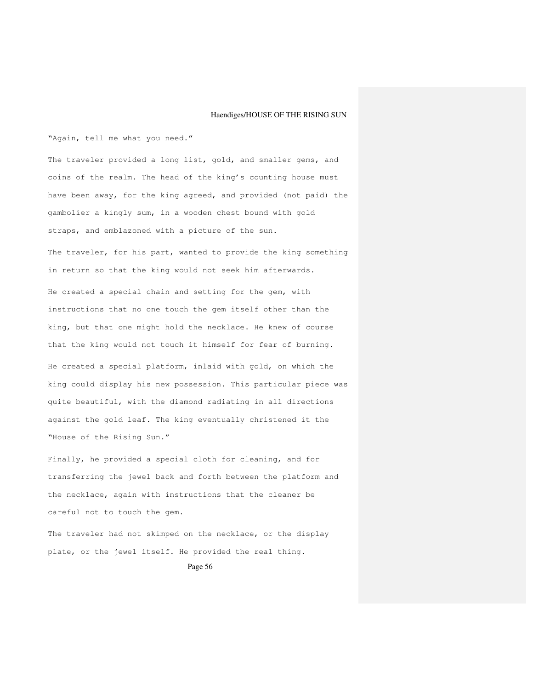"Again, tell me what you need."

The traveler provided a long list, gold, and smaller gems, and coins of the realm. The head of the king's counting house must have been away, for the king agreed, and provided (not paid) the gambolier a kingly sum, in a wooden chest bound with gold straps, and emblazoned with a picture of the sun. The traveler, for his part, wanted to provide the king something in return so that the king would not seek him afterwards. He created a special chain and setting for the gem, with instructions that no one touch the gem itself other than the king, but that one might hold the necklace. He knew of course that the king would not touch it himself for fear of burning. He created a special platform, inlaid with gold, on which the king could display his new possession. This particular piece was quite beautiful, with the diamond radiating in all directions against the gold leaf. The king eventually christened it the "House of the Rising Sun."

Finally, he provided a special cloth for cleaning, and for transferring the jewel back and forth between the platform and the necklace, again with instructions that the cleaner be careful not to touch the gem.

The traveler had not skimped on the necklace, or the display plate, or the jewel itself. He provided the real thing.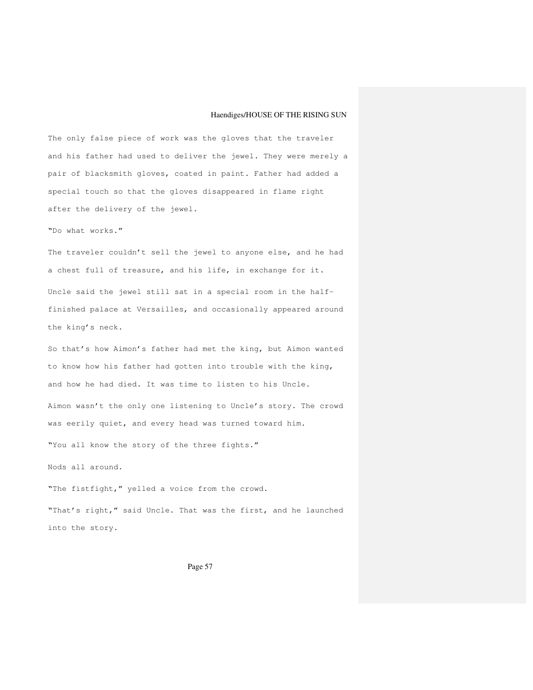The only false piece of work was the gloves that the traveler and his father had used to deliver the jewel. They were merely a pair of blacksmith gloves, coated in paint. Father had added a special touch so that the gloves disappeared in flame right after the delivery of the jewel.

"Do what works."

The traveler couldn't sell the jewel to anyone else, and he had a chest full of treasure, and his life, in exchange for it. Uncle said the jewel still sat in a special room in the halffinished palace at Versailles, and occasionally appeared around the king's neck.

So that's how Aimon's father had met the king, but Aimon wanted to know how his father had gotten into trouble with the king, and how he had died. It was time to listen to his Uncle. Aimon wasn't the only one listening to Uncle's story. The crowd was eerily quiet, and every head was turned toward him. "You all know the story of the three fights."

Nods all around.

"The fistfight," yelled a voice from the crowd.

"That's right," said Uncle. That was the first, and he launched into the story.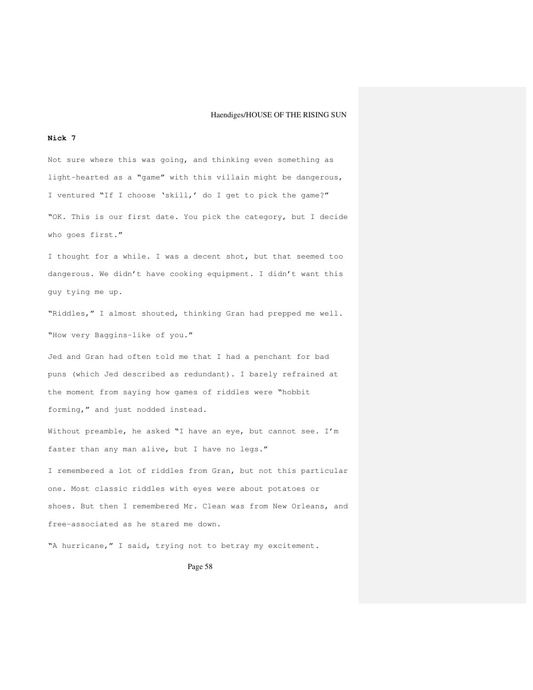#### **Nick 7**

Not sure where this was going, and thinking even something as light-hearted as a "game" with this villain might be dangerous, I ventured "If I choose 'skill,' do I get to pick the game?" "OK. This is our first date. You pick the category, but I decide who goes first."

I thought for a while. I was a decent shot, but that seemed too dangerous. We didn't have cooking equipment. I didn't want this guy tying me up.

"Riddles," I almost shouted, thinking Gran had prepped me well. "How very Baggins-like of you."

Jed and Gran had often told me that I had a penchant for bad puns (which Jed described as redundant). I barely refrained at the moment from saying how games of riddles were "hobbit forming," and just nodded instead.

Without preamble, he asked "I have an eye, but cannot see. I'm faster than any man alive, but I have no legs."

I remembered a lot of riddles from Gran, but not this particular one. Most classic riddles with eyes were about potatoes or shoes. But then I remembered Mr. Clean was from New Orleans, and free-associated as he stared me down.

"A hurricane," I said, trying not to betray my excitement.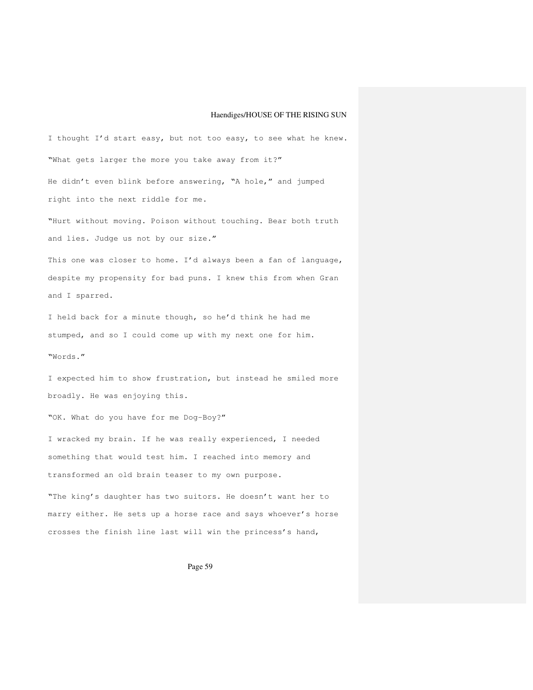I thought I'd start easy, but not too easy, to see what he knew. "What gets larger the more you take away from it?" He didn't even blink before answering, "A hole," and jumped right into the next riddle for me.

"Hurt without moving. Poison without touching. Bear both truth and lies. Judge us not by our size."

This one was closer to home. I'd always been a fan of language, despite my propensity for bad puns. I knew this from when Gran and I sparred.

I held back for a minute though, so he'd think he had me stumped, and so I could come up with my next one for him. "Words."

I expected him to show frustration, but instead he smiled more broadly. He was enjoying this.

"OK. What do you have for me Dog-Boy?"

I wracked my brain. If he was really experienced, I needed something that would test him. I reached into memory and transformed an old brain teaser to my own purpose.

"The king's daughter has two suitors. He doesn't want her to marry either. He sets up a horse race and says whoever's horse crosses the finish line last will win the princess's hand,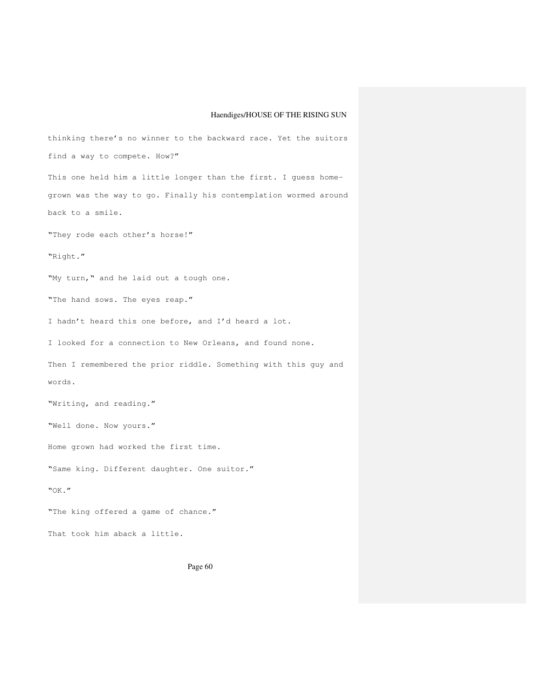thinking there's no winner to the backward race. Yet the suitors find a way to compete. How?" This one held him a little longer than the first. I guess homegrown was the way to go. Finally his contemplation wormed around back to a smile. "They rode each other's horse!" "Right." "My turn," and he laid out a tough one. "The hand sows. The eyes reap." I hadn't heard this one before, and I'd heard a lot. I looked for a connection to New Orleans, and found none. Then I remembered the prior riddle. Something with this guy and words. "Writing, and reading." "Well done. Now yours." Home grown had worked the first time. "Same king. Different daughter. One suitor." "OK." "The king offered a game of chance." That took him aback a little.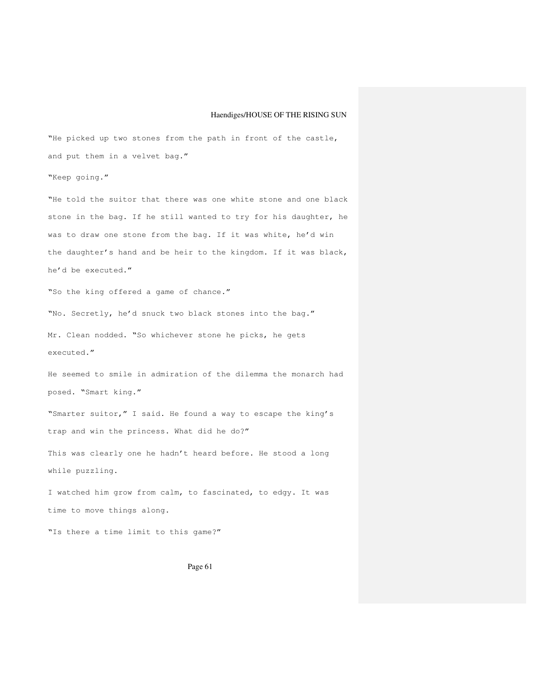"He picked up two stones from the path in front of the castle, and put them in a velvet bag."

"Keep going."

"He told the suitor that there was one white stone and one black stone in the bag. If he still wanted to try for his daughter, he was to draw one stone from the bag. If it was white, he'd win the daughter's hand and be heir to the kingdom. If it was black, he'd be executed."

"So the king offered a game of chance."

"No. Secretly, he'd snuck two black stones into the bag." Mr. Clean nodded. "So whichever stone he picks, he gets executed."

He seemed to smile in admiration of the dilemma the monarch had posed. "Smart king."

"Smarter suitor," I said. He found a way to escape the king's trap and win the princess. What did he do?"

This was clearly one he hadn't heard before. He stood a long while puzzling.

I watched him grow from calm, to fascinated, to edgy. It was time to move things along.

"Is there a time limit to this game?"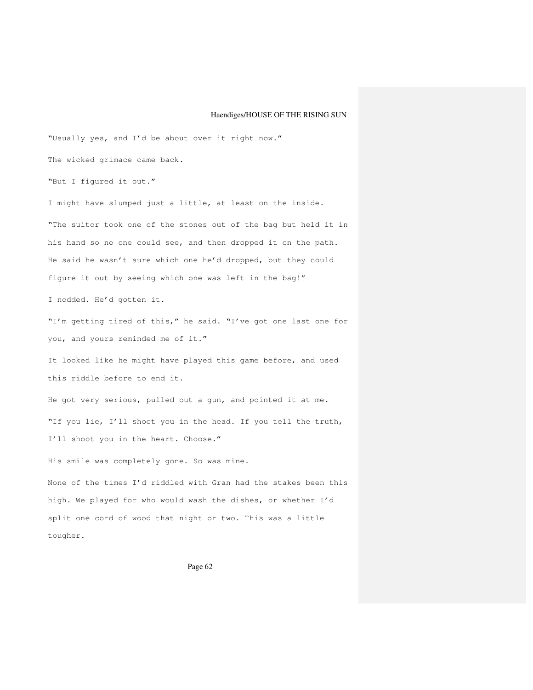"Usually yes, and I'd be about over it right now." The wicked grimace came back. "But I figured it out." I might have slumped just a little, at least on the inside. "The suitor took one of the stones out of the bag but held it in his hand so no one could see, and then dropped it on the path. He said he wasn't sure which one he'd dropped, but they could figure it out by seeing which one was left in the bag!" I nodded. He'd gotten it. "I'm getting tired of this," he said. "I've got one last one for you, and yours reminded me of it." It looked like he might have played this game before, and used this riddle before to end it. He got very serious, pulled out a gun, and pointed it at me. "If you lie, I'll shoot you in the head. If you tell the truth, I'll shoot you in the heart. Choose." His smile was completely gone. So was mine. None of the times I'd riddled with Gran had the stakes been this high. We played for who would wash the dishes, or whether I'd split one cord of wood that night or two. This was a little tougher.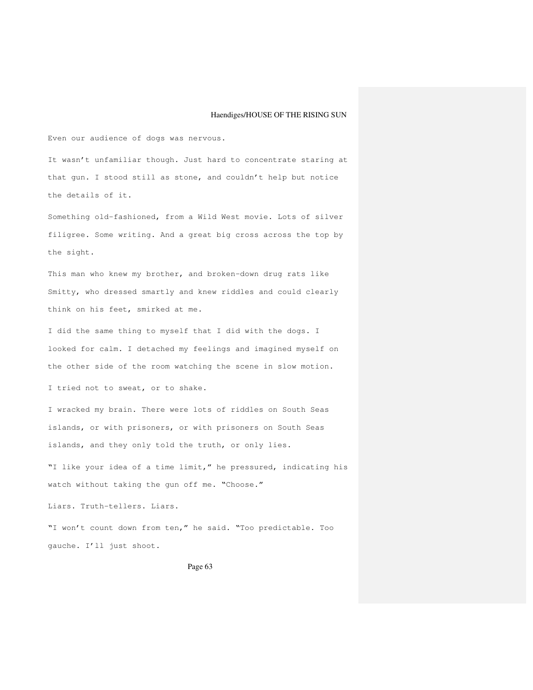Even our audience of dogs was nervous.

It wasn't unfamiliar though. Just hard to concentrate staring at that gun. I stood still as stone, and couldn't help but notice the details of it.

Something old-fashioned, from a Wild West movie. Lots of silver filigree. Some writing. And a great big cross across the top by the sight.

This man who knew my brother, and broken-down drug rats like Smitty, who dressed smartly and knew riddles and could clearly think on his feet, smirked at me.

I did the same thing to myself that I did with the dogs. I looked for calm. I detached my feelings and imagined myself on the other side of the room watching the scene in slow motion.

I tried not to sweat, or to shake.

I wracked my brain. There were lots of riddles on South Seas islands, or with prisoners, or with prisoners on South Seas islands, and they only told the truth, or only lies.

"I like your idea of a time limit," he pressured, indicating his watch without taking the gun off me. "Choose."

Liars. Truth-tellers. Liars.

"I won't count down from ten," he said. "Too predictable. Too gauche. I'll just shoot.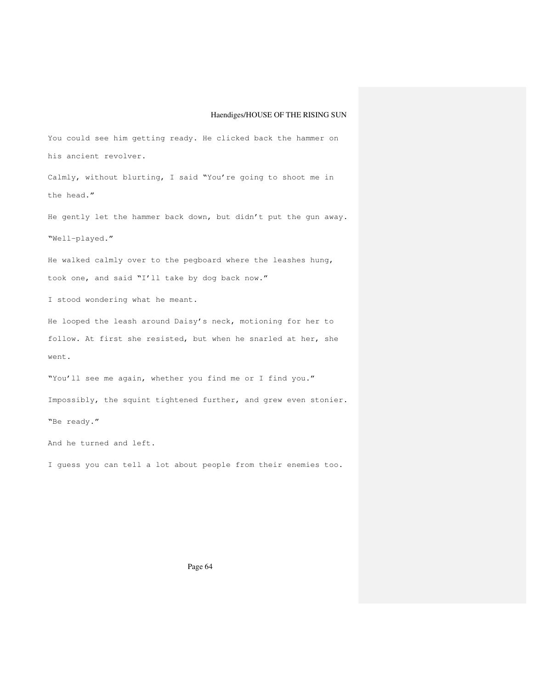You could see him getting ready. He clicked back the hammer on his ancient revolver.

Calmly, without blurting, I said "You're going to shoot me in the head."

He gently let the hammer back down, but didn't put the gun away. "Well-played."

He walked calmly over to the pegboard where the leashes hung, took one, and said "I'll take by dog back now."

I stood wondering what he meant.

He looped the leash around Daisy's neck, motioning for her to follow. At first she resisted, but when he snarled at her, she went.

"You'll see me again, whether you find me or I find you." Impossibly, the squint tightened further, and grew even stonier. "Be ready."

And he turned and left.

I guess you can tell a lot about people from their enemies too.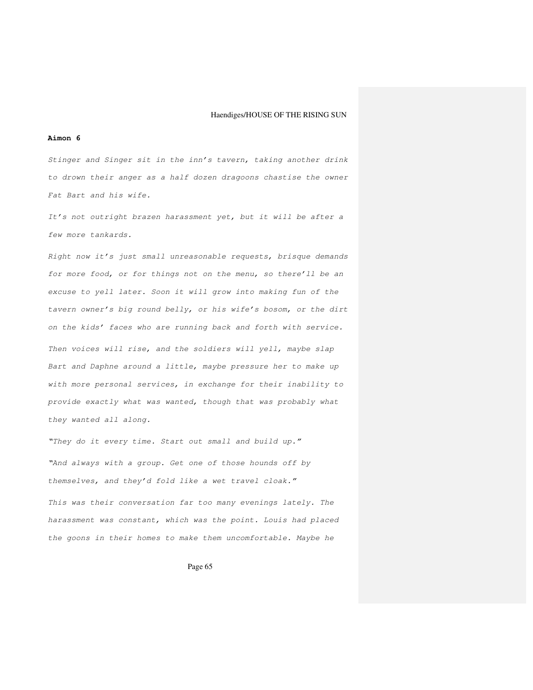#### **Aimon 6**

Stinger and Singer sit in the inn's tavern, taking another drink to drown their anger as a half dozen dragoons chastise the owner Fat Bart and his wife.

It's not outright brazen harassment yet, but it will be after a few more tankards.

Right now it's just small unreasonable requests, brisque demands for more food, or for things not on the menu, so there'll be an excuse to yell later. Soon it will grow into making fun of the tavern owner's big round belly, or his wife's bosom, or the dirt on the kids' faces who are running back and forth with service. Then voices will rise, and the soldiers will yell, maybe slap Bart and Daphne around a little, maybe pressure her to make up with more personal services, in exchange for their inability to provide exactly what was wanted, though that was probably what they wanted all along.

"They do it every time. Start out small and build up." "And always with a group. Get one of those hounds off by themselves, and they'd fold like a wet travel cloak." This was their conversation far too many evenings lately. The harassment was constant, which was the point. Louis had placed the goons in their homes to make them uncomfortable. Maybe he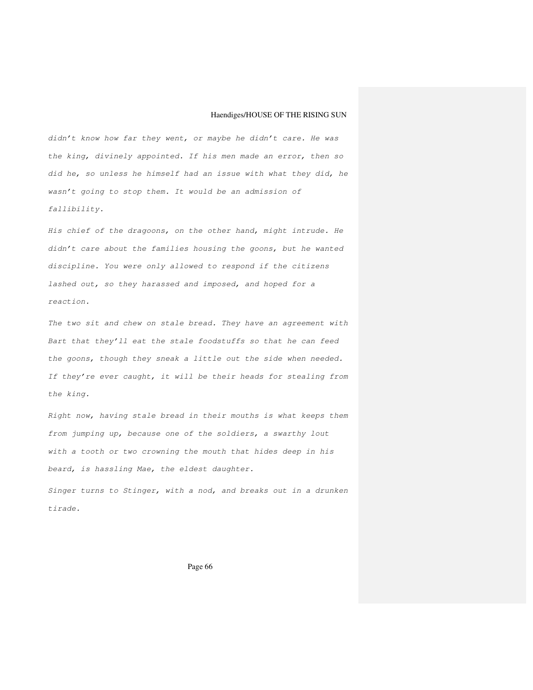didn't know how far they went, or maybe he didn't care. He was the king, divinely appointed. If his men made an error, then so did he, so unless he himself had an issue with what they did, he wasn't going to stop them. It would be an admission of fallibility.

His chief of the dragoons, on the other hand, might intrude. He didn't care about the families housing the goons, but he wanted discipline. You were only allowed to respond if the citizens lashed out, so they harassed and imposed, and hoped for a reaction.

The two sit and chew on stale bread. They have an agreement with Bart that they'll eat the stale foodstuffs so that he can feed the goons, though they sneak a little out the side when needed. If they're ever caught, it will be their heads for stealing from the king.

Right now, having stale bread in their mouths is what keeps them from jumping up, because one of the soldiers, a swarthy lout with a tooth or two crowning the mouth that hides deep in his beard, is hassling Mae, the eldest daughter.

Singer turns to Stinger, with a nod, and breaks out in a drunken tirade.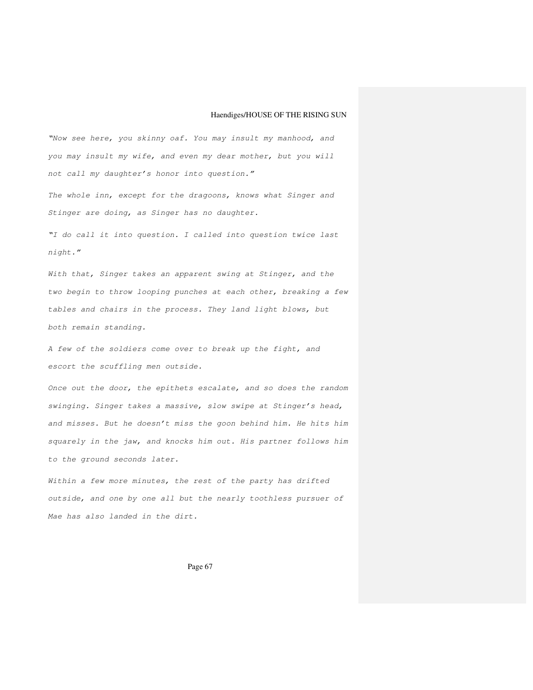"Now see here, you skinny oaf. You may insult my manhood, and you may insult my wife, and even my dear mother, but you will not call my daughter's honor into question."

The whole inn, except for the dragoons, knows what Singer and Stinger are doing, as Singer has no daughter.

"I do call it into question. I called into question twice last night."

With that, Singer takes an apparent swing at Stinger, and the two begin to throw looping punches at each other, breaking a few tables and chairs in the process. They land light blows, but both remain standing.

A few of the soldiers come over to break up the fight, and escort the scuffling men outside.

Once out the door, the epithets escalate, and so does the random swinging. Singer takes a massive, slow swipe at Stinger's head, and misses. But he doesn't miss the goon behind him. He hits him squarely in the jaw, and knocks him out. His partner follows him to the ground seconds later.

Within a few more minutes, the rest of the party has drifted outside, and one by one all but the nearly toothless pursuer of Mae has also landed in the dirt.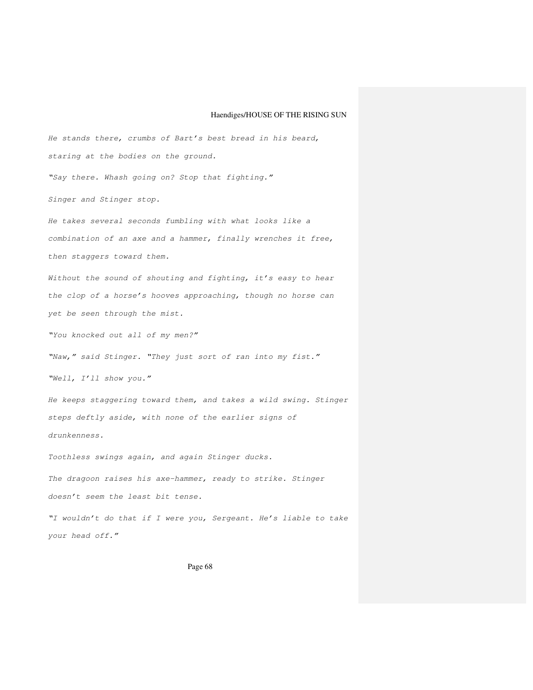He stands there, crumbs of Bart's best bread in his beard, staring at the bodies on the ground. "Say there. Whash going on? Stop that fighting." Singer and Stinger stop. He takes several seconds fumbling with what looks like a combination of an axe and a hammer, finally wrenches it free, then staggers toward them. Without the sound of shouting and fighting, it's easy to hear the clop of a horse's hooves approaching, though no horse can yet be seen through the mist. "You knocked out all of my men?" "Naw," said Stinger. "They just sort of ran into my fist." "Well, I'll show you." He keeps staggering toward them, and takes a wild swing. Stinger steps deftly aside, with none of the earlier signs of drunkenness. Toothless swings again, and again Stinger ducks. The dragoon raises his axe-hammer, ready to strike. Stinger doesn't seem the least bit tense. "I wouldn't do that if I were you, Sergeant. He's liable to take your head off."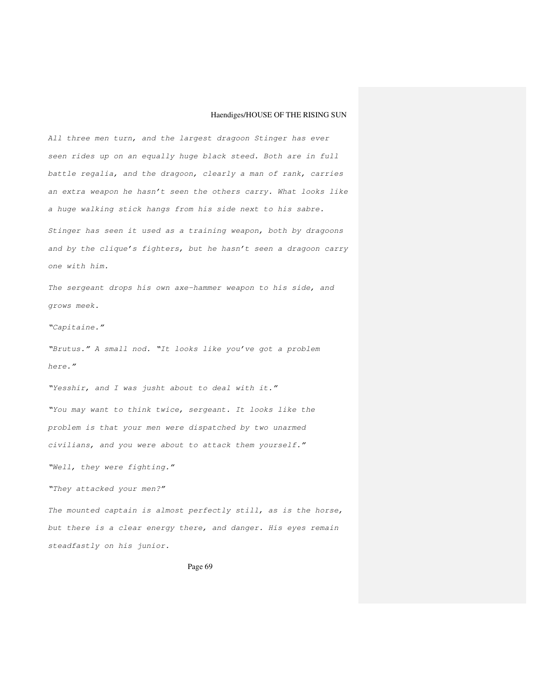All three men turn, and the largest dragoon Stinger has ever seen rides up on an equally huge black steed. Both are in full battle regalia, and the dragoon, clearly a man of rank, carries an extra weapon he hasn't seen the others carry. What looks like a huge walking stick hangs from his side next to his sabre. Stinger has seen it used as a training weapon, both by dragoons

and by the clique's fighters, but he hasn't seen a dragoon carry one with him.

The sergeant drops his own axe-hammer weapon to his side, and grows meek.

"Capitaine."

"Brutus." A small nod. "It looks like you've got a problem here."

"Yesshir, and I was jusht about to deal with it."

"You may want to think twice, sergeant. It looks like the problem is that your men were dispatched by two unarmed civilians, and you were about to attack them yourself."

"Well, they were fighting."

"They attacked your men?"

The mounted captain is almost perfectly still, as is the horse, but there is a clear energy there, and danger. His eyes remain steadfastly on his junior.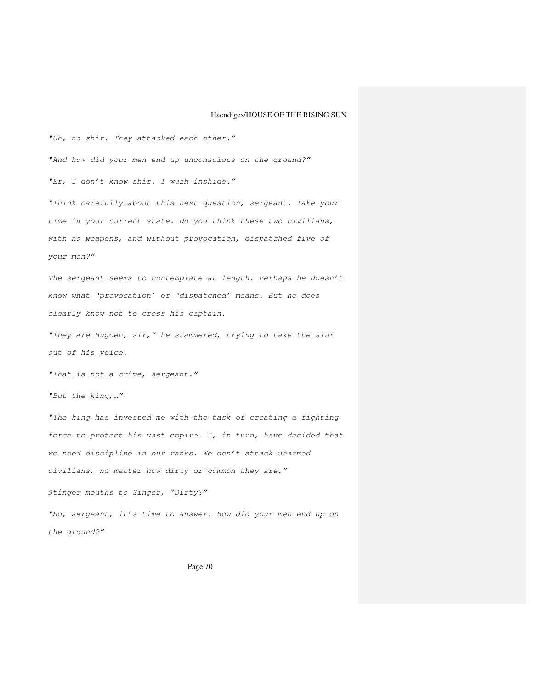"Uh, no shir. They attacked each other." "And how did your men end up unconscious on the ground?" "Er, I don't know shir. I wuzh inshide." "Think carefully about this next question, sergeant. Take your time in your current state. Do you think these two civilians, with no weapons, and without provocation, dispatched five of your men?" The sergeant seems to contemplate at length. Perhaps he doesn't know what 'provocation' or 'dispatched' means. But he does clearly know not to cross his captain. "They are Hugoen, sir," he stammered, trying to take the slur out of his voice.

"That is not a crime, sergeant."

"But the king,…"

"The king has invested me with the task of creating a fighting force to protect his vast empire. I, in turn, have decided that we need discipline in our ranks. We don't attack unarmed civilians, no matter how dirty or common they are." Stinger mouths to Singer, "Dirty?" "So, sergeant, it's time to answer. How did your men end up on

the ground?"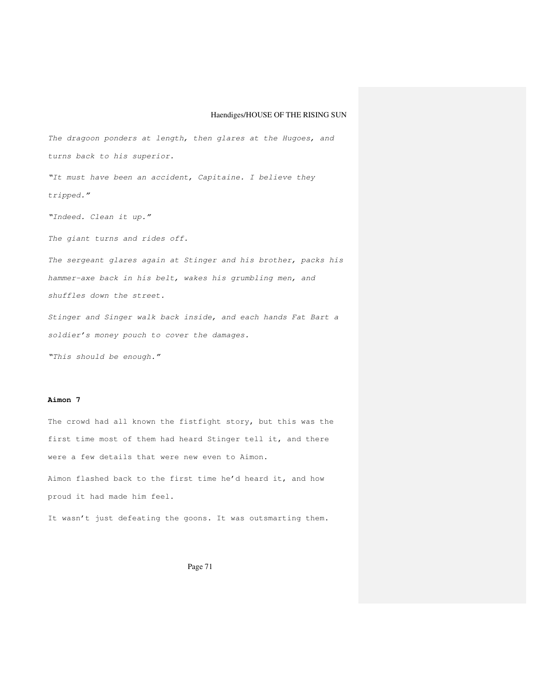The dragoon ponders at length, then glares at the Hugoes, and turns back to his superior. "It must have been an accident, Capitaine. I believe they tripped." "Indeed. Clean it up." The giant turns and rides off. The sergeant glares again at Stinger and his brother, packs his hammer-axe back in his belt, wakes his grumbling men, and shuffles down the street. Stinger and Singer walk back inside, and each hands Fat Bart a soldier's money pouch to cover the damages.

"This should be enough."

#### **Aimon 7**

The crowd had all known the fistfight story, but this was the first time most of them had heard Stinger tell it, and there were a few details that were new even to Aimon.

Aimon flashed back to the first time he'd heard it, and how proud it had made him feel.

It wasn't just defeating the goons. It was outsmarting them.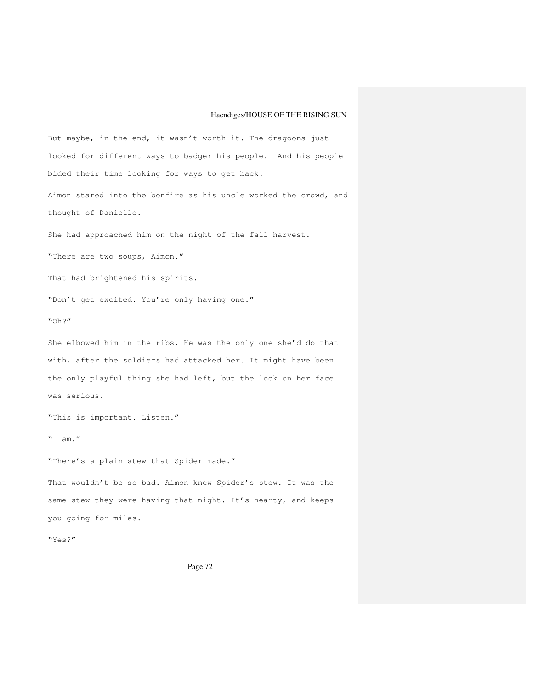But maybe, in the end, it wasn't worth it. The dragoons just looked for different ways to badger his people. And his people bided their time looking for ways to get back. Aimon stared into the bonfire as his uncle worked the crowd, and thought of Danielle. She had approached him on the night of the fall harvest. "There are two soups, Aimon." That had brightened his spirits. "Don't get excited. You're only having one." "Oh?" She elbowed him in the ribs. He was the only one she'd do that with, after the soldiers had attacked her. It might have been the only playful thing she had left, but the look on her face was serious. "This is important. Listen." "I am." "There's a plain stew that Spider made." That wouldn't be so bad. Aimon knew Spider's stew. It was the same stew they were having that night. It's hearty, and keeps you going for miles. "Yes?"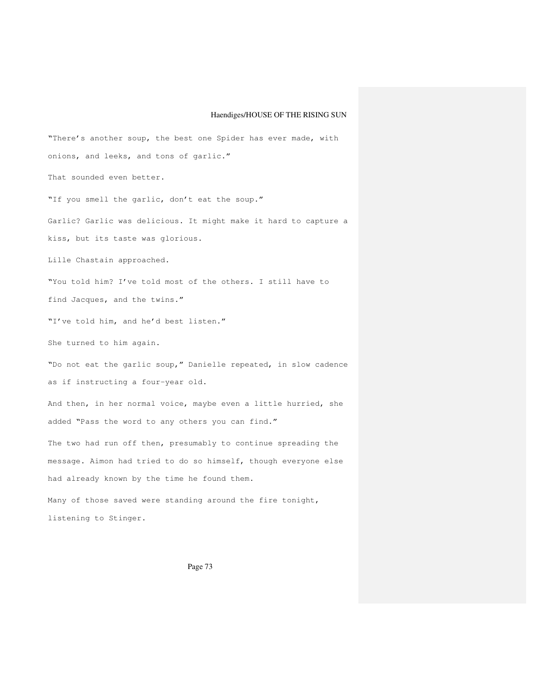"There's another soup, the best one Spider has ever made, with onions, and leeks, and tons of garlic." That sounded even better. "If you smell the garlic, don't eat the soup." Garlic? Garlic was delicious. It might make it hard to capture a kiss, but its taste was glorious. Lille Chastain approached. "You told him? I've told most of the others. I still have to find Jacques, and the twins." "I've told him, and he'd best listen." She turned to him again. "Do not eat the garlic soup," Danielle repeated, in slow cadence as if instructing a four-year old. And then, in her normal voice, maybe even a little hurried, she added "Pass the word to any others you can find." The two had run off then, presumably to continue spreading the message. Aimon had tried to do so himself, though everyone else had already known by the time he found them. Many of those saved were standing around the fire tonight, listening to Stinger.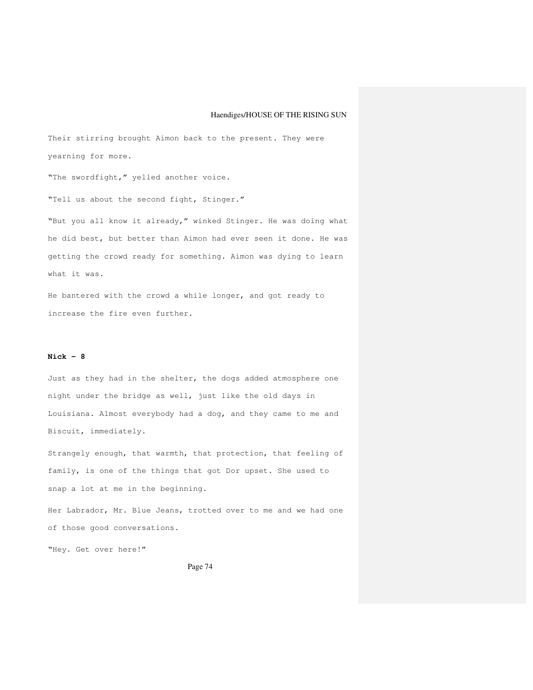Their stirring brought Aimon back to the present. They were yearning for more.

"The swordfight," yelled another voice.

"Tell us about the second fight, Stinger."

"But you all know it already," winked Stinger. He was doing what he did best, but better than Aimon had ever seen it done. He was getting the crowd ready for something. Aimon was dying to learn what it was.

He bantered with the crowd a while longer, and got ready to increase the fire even further.

#### **Nick – 8**

Just as they had in the shelter, the dogs added atmosphere one night under the bridge as well, just like the old days in Louisiana. Almost everybody had a dog, and they came to me and Biscuit, immediately.

Strangely enough, that warmth, that protection, that feeling of family, is one of the things that got Dor upset. She used to snap a lot at me in the beginning.

Her Labrador, Mr. Blue Jeans, trotted over to me and we had one of those good conversations.

"Hey. Get over here!"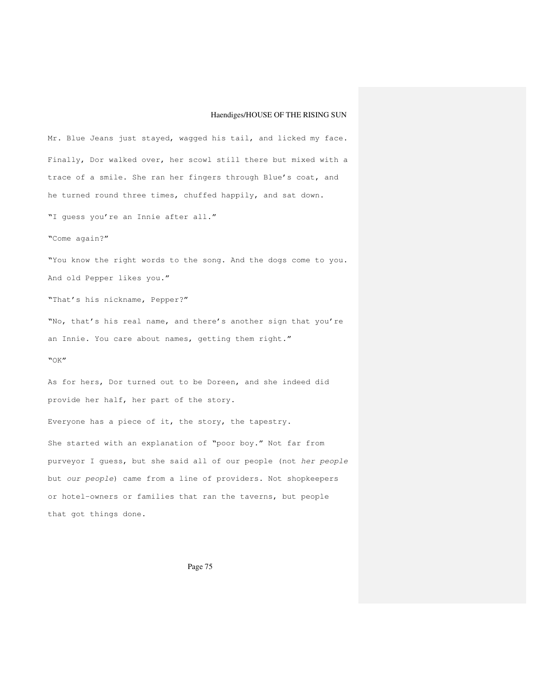Mr. Blue Jeans just stayed, wagged his tail, and licked my face. Finally, Dor walked over, her scowl still there but mixed with a trace of a smile. She ran her fingers through Blue's coat, and he turned round three times, chuffed happily, and sat down.

"I guess you're an Innie after all."

"Come again?"

"You know the right words to the song. And the dogs come to you. And old Pepper likes you."

"That's his nickname, Pepper?"

"No, that's his real name, and there's another sign that you're an Innie. You care about names, getting them right."

"OK"

As for hers, Dor turned out to be Doreen, and she indeed did provide her half, her part of the story. Everyone has a piece of it, the story, the tapestry. She started with an explanation of "poor boy." Not far from purveyor I guess, but she said all of our people (not her people but our people) came from a line of providers. Not shopkeepers or hotel-owners or families that ran the taverns, but people that got things done.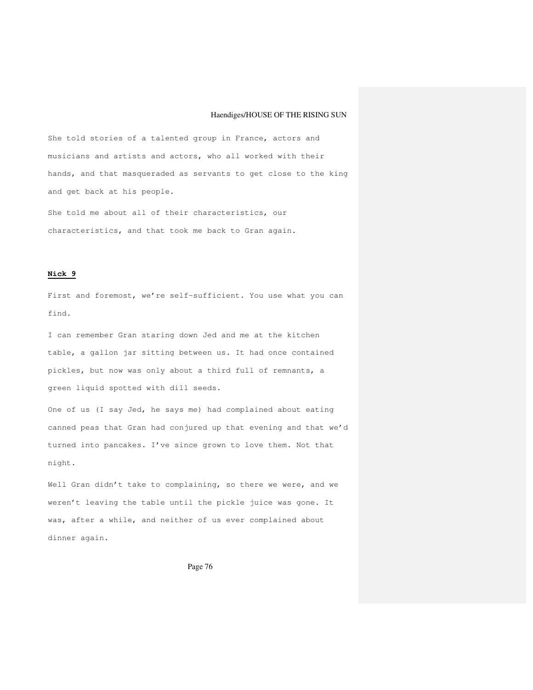She told stories of a talented group in France, actors and musicians and artists and actors, who all worked with their hands, and that masqueraded as servants to get close to the king and get back at his people.

She told me about all of their characteristics, our characteristics, and that took me back to Gran again.

# **Nick 9**

First and foremost, we're self-sufficient. You use what you can find.

I can remember Gran staring down Jed and me at the kitchen table, a gallon jar sitting between us. It had once contained pickles, but now was only about a third full of remnants, a green liquid spotted with dill seeds.

One of us (I say Jed, he says me) had complained about eating canned peas that Gran had conjured up that evening and that we'd turned into pancakes. I've since grown to love them. Not that night.

Well Gran didn't take to complaining, so there we were, and we weren't leaving the table until the pickle juice was gone. It was, after a while, and neither of us ever complained about dinner again.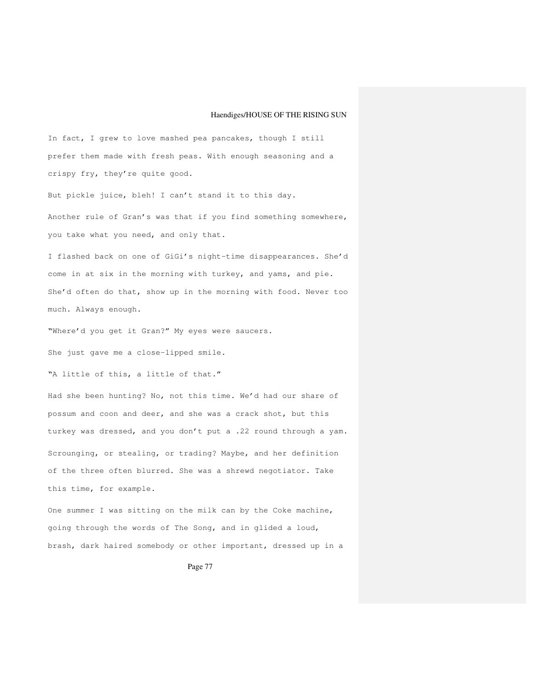In fact, I grew to love mashed pea pancakes, though I still prefer them made with fresh peas. With enough seasoning and a crispy fry, they're quite good.

But pickle juice, bleh! I can't stand it to this day. Another rule of Gran's was that if you find something somewhere, you take what you need, and only that.

I flashed back on one of GiGi's night-time disappearances. She'd come in at six in the morning with turkey, and yams, and pie. She'd often do that, show up in the morning with food. Never too much. Always enough.

"Where'd you get it Gran?" My eyes were saucers.

She just gave me a close-lipped smile.

"A little of this, a little of that."

Had she been hunting? No, not this time. We'd had our share of possum and coon and deer, and she was a crack shot, but this turkey was dressed, and you don't put a .22 round through a yam. Scrounging, or stealing, or trading? Maybe, and her definition of the three often blurred. She was a shrewd negotiator. Take this time, for example.

One summer I was sitting on the milk can by the Coke machine, going through the words of The Song, and in glided a loud, brash, dark haired somebody or other important, dressed up in a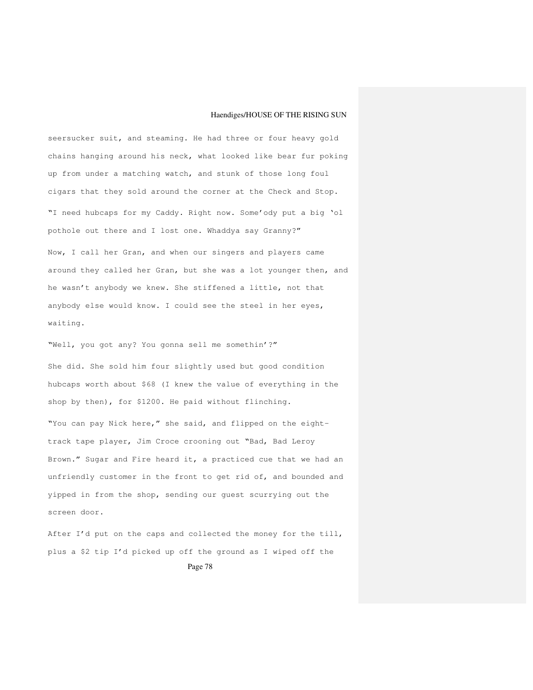seersucker suit, and steaming. He had three or four heavy gold chains hanging around his neck, what looked like bear fur poking up from under a matching watch, and stunk of those long foul cigars that they sold around the corner at the Check and Stop. "I need hubcaps for my Caddy. Right now. Some'ody put a big 'ol pothole out there and I lost one. Whaddya say Granny?" Now, I call her Gran, and when our singers and players came around they called her Gran, but she was a lot younger then, and he wasn't anybody we knew. She stiffened a little, not that anybody else would know. I could see the steel in her eyes, waiting.

"Well, you got any? You gonna sell me somethin'?" She did. She sold him four slightly used but good condition hubcaps worth about \$68 (I knew the value of everything in the shop by then), for \$1200. He paid without flinching. "You can pay Nick here," she said, and flipped on the eighttrack tape player, Jim Croce crooning out "Bad, Bad Leroy Brown." Sugar and Fire heard it, a practiced cue that we had an unfriendly customer in the front to get rid of, and bounded and yipped in from the shop, sending our guest scurrying out the screen door.

After I'd put on the caps and collected the money for the till, plus a \$2 tip I'd picked up off the ground as I wiped off the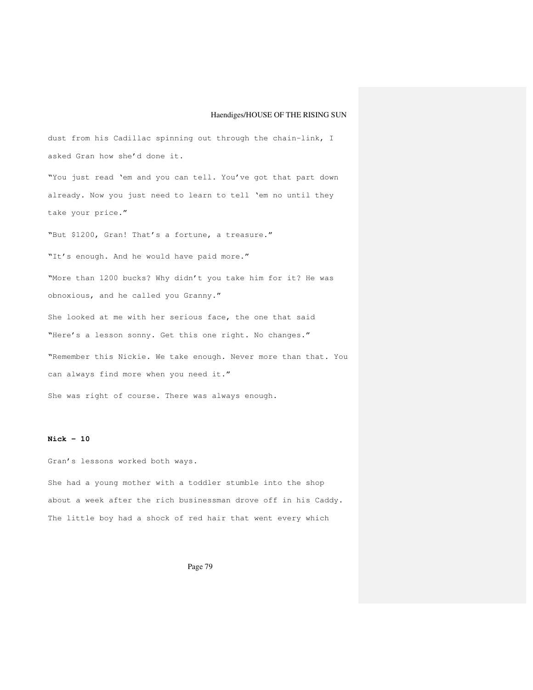dust from his Cadillac spinning out through the chain-link, I asked Gran how she'd done it.

"You just read 'em and you can tell. You've got that part down already. Now you just need to learn to tell 'em no until they take your price."

"But \$1200, Gran! That's a fortune, a treasure." "It's enough. And he would have paid more." "More than 1200 bucks? Why didn't you take him for it? He was obnoxious, and he called you Granny." She looked at me with her serious face, the one that said "Here's a lesson sonny. Get this one right. No changes." "Remember this Nickie. We take enough. Never more than that. You can always find more when you need it." She was right of course. There was always enough.

#### **Nick - 10**

Gran's lessons worked both ways.

She had a young mother with a toddler stumble into the shop about a week after the rich businessman drove off in his Caddy. The little boy had a shock of red hair that went every which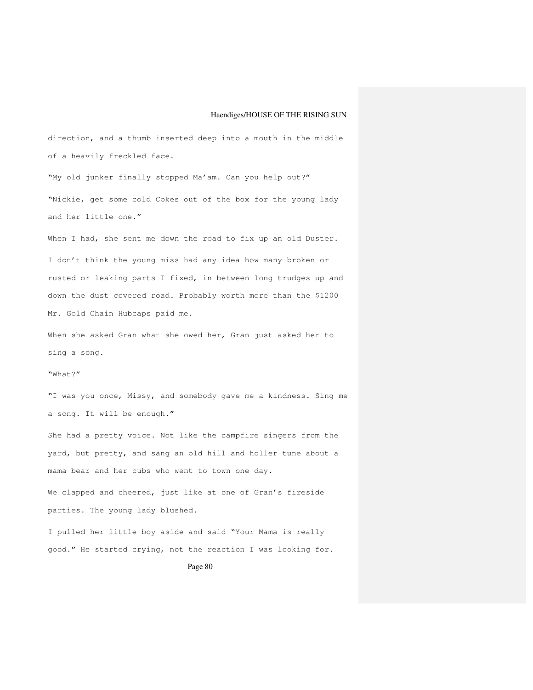direction, and a thumb inserted deep into a mouth in the middle of a heavily freckled face.

"My old junker finally stopped Ma'am. Can you help out?" "Nickie, get some cold Cokes out of the box for the young lady and her little one."

When I had, she sent me down the road to fix up an old Duster. I don't think the young miss had any idea how many broken or rusted or leaking parts I fixed, in between long trudges up and down the dust covered road. Probably worth more than the \$1200 Mr. Gold Chain Hubcaps paid me.

When she asked Gran what she owed her, Gran just asked her to sing a song.

### "What?"

"I was you once, Missy, and somebody gave me a kindness. Sing me a song. It will be enough."

She had a pretty voice. Not like the campfire singers from the yard, but pretty, and sang an old hill and holler tune about a mama bear and her cubs who went to town one day.

We clapped and cheered, just like at one of Gran's fireside parties. The young lady blushed.

I pulled her little boy aside and said "Your Mama is really good." He started crying, not the reaction I was looking for.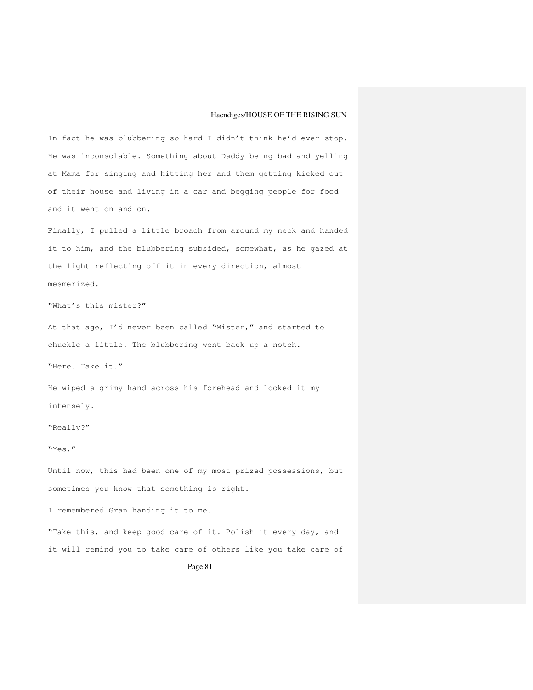In fact he was blubbering so hard I didn't think he'd ever stop. He was inconsolable. Something about Daddy being bad and yelling at Mama for singing and hitting her and them getting kicked out of their house and living in a car and begging people for food and it went on and on.

Finally, I pulled a little broach from around my neck and handed it to him, and the blubbering subsided, somewhat, as he gazed at the light reflecting off it in every direction, almost mesmerized.

"What's this mister?"

At that age, I'd never been called "Mister," and started to chuckle a little. The blubbering went back up a notch.

"Here. Take it."

He wiped a grimy hand across his forehead and looked it my intensely.

"Really?"

"Yes."

Until now, this had been one of my most prized possessions, but sometimes you know that something is right.

I remembered Gran handing it to me.

"Take this, and keep good care of it. Polish it every day, and it will remind you to take care of others like you take care of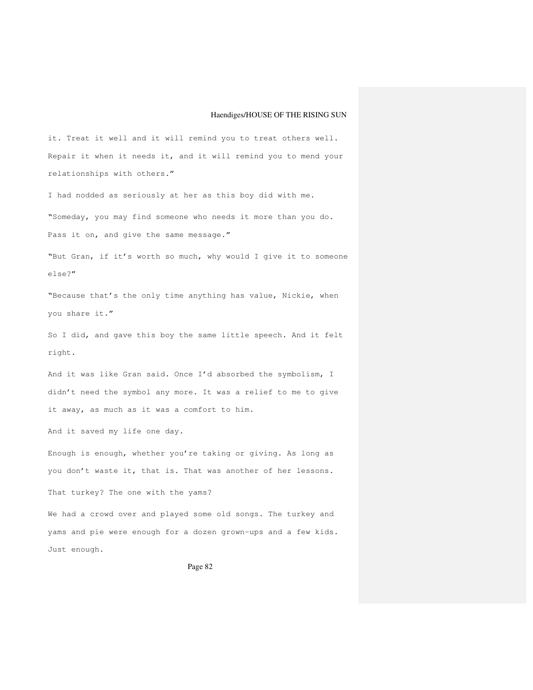it. Treat it well and it will remind you to treat others well. Repair it when it needs it, and it will remind you to mend your relationships with others."

I had nodded as seriously at her as this boy did with me. "Someday, you may find someone who needs it more than you do. Pass it on, and give the same message."

"But Gran, if it's worth so much, why would I give it to someone else?"

"Because that's the only time anything has value, Nickie, when you share it."

So I did, and gave this boy the same little speech. And it felt right.

And it was like Gran said. Once I'd absorbed the symbolism, I didn't need the symbol any more. It was a relief to me to give it away, as much as it was a comfort to him.

And it saved my life one day.

Enough is enough, whether you're taking or giving. As long as you don't waste it, that is. That was another of her lessons.

That turkey? The one with the yams?

We had a crowd over and played some old songs. The turkey and yams and pie were enough for a dozen grown-ups and a few kids. Just enough.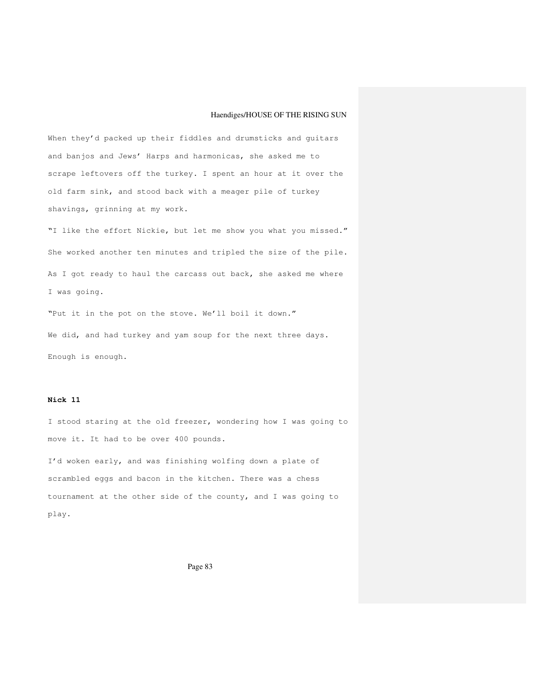When they'd packed up their fiddles and drumsticks and guitars and banjos and Jews' Harps and harmonicas, she asked me to scrape leftovers off the turkey. I spent an hour at it over the old farm sink, and stood back with a meager pile of turkey shavings, grinning at my work.

"I like the effort Nickie, but let me show you what you missed." She worked another ten minutes and tripled the size of the pile. As I got ready to haul the carcass out back, she asked me where I was going.

"Put it in the pot on the stove. We'll boil it down." We did, and had turkey and yam soup for the next three days. Enough is enough.

# **Nick 11**

I stood staring at the old freezer, wondering how I was going to move it. It had to be over 400 pounds.

I'd woken early, and was finishing wolfing down a plate of scrambled eggs and bacon in the kitchen. There was a chess tournament at the other side of the county, and I was going to play.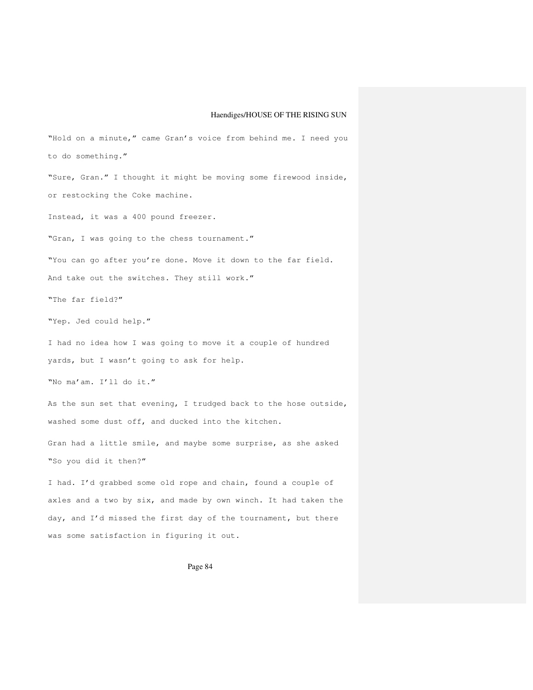"Hold on a minute," came Gran's voice from behind me. I need you to do something." "Sure, Gran." I thought it might be moving some firewood inside, or restocking the Coke machine. Instead, it was a 400 pound freezer. "Gran, I was going to the chess tournament." "You can go after you're done. Move it down to the far field. And take out the switches. They still work." "The far field?" "Yep. Jed could help." I had no idea how I was going to move it a couple of hundred yards, but I wasn't going to ask for help. "No ma'am. I'll do it." As the sun set that evening, I trudged back to the hose outside, washed some dust off, and ducked into the kitchen. Gran had a little smile, and maybe some surprise, as she asked "So you did it then?" I had. I'd grabbed some old rope and chain, found a couple of

axles and a two by six, and made by own winch. It had taken the day, and I'd missed the first day of the tournament, but there was some satisfaction in figuring it out.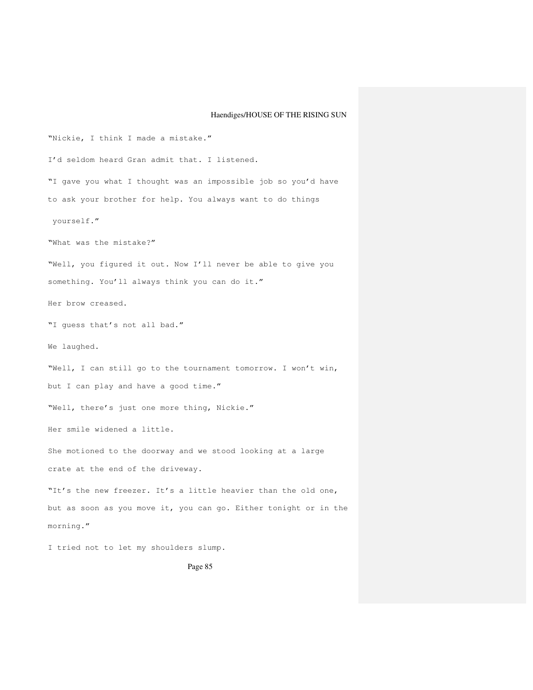"Nickie, I think I made a mistake." I'd seldom heard Gran admit that. I listened. "I gave you what I thought was an impossible job so you'd have to ask your brother for help. You always want to do things yourself." "What was the mistake?" "Well, you figured it out. Now I'll never be able to give you something. You'll always think you can do it." Her brow creased. "I guess that's not all bad." We laughed. "Well, I can still go to the tournament tomorrow. I won't win, but I can play and have a good time." "Well, there's just one more thing, Nickie." Her smile widened a little. She motioned to the doorway and we stood looking at a large crate at the end of the driveway. "It's the new freezer. It's a little heavier than the old one, but as soon as you move it, you can go. Either tonight or in the morning."

I tried not to let my shoulders slump.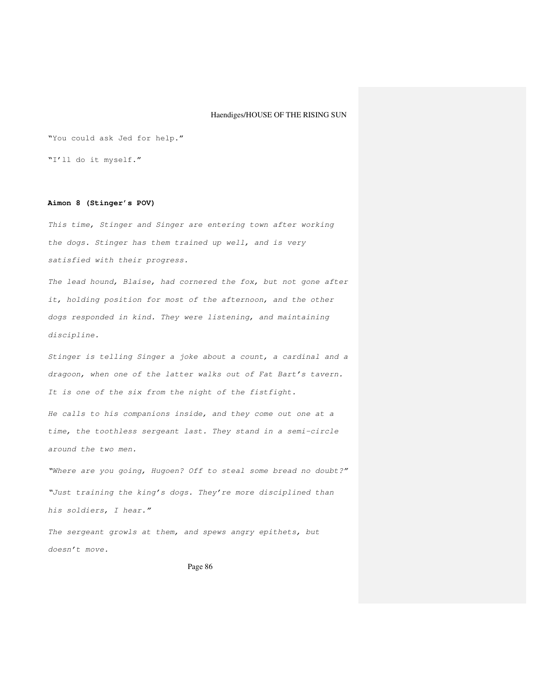"You could ask Jed for help."

"I'll do it myself."

### **Aimon 8 (Stinger's POV)**

This time, Stinger and Singer are entering town after working the dogs. Stinger has them trained up well, and is very satisfied with their progress.

The lead hound, Blaise, had cornered the fox, but not gone after it, holding position for most of the afternoon, and the other dogs responded in kind. They were listening, and maintaining discipline.

Stinger is telling Singer a joke about a count, a cardinal and a dragoon, when one of the latter walks out of Fat Bart's tavern. It is one of the six from the night of the fistfight.

He calls to his companions inside, and they come out one at a time, the toothless sergeant last. They stand in a semi-circle around the two men.

"Where are you going, Hugoen? Off to steal some bread no doubt?" "Just training the king's dogs. They're more disciplined than his soldiers, I hear."

The sergeant growls at them, and spews angry epithets, but doesn't move.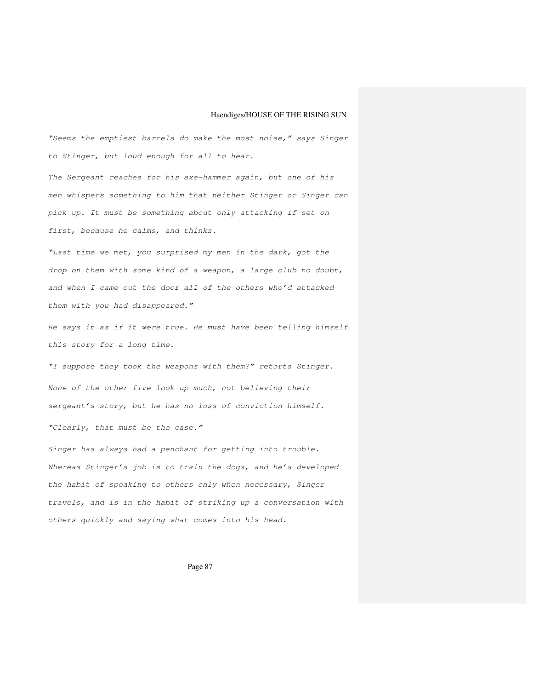"Seems the emptiest barrels do make the most noise," says Singer to Stinger, but loud enough for all to hear.

The Sergeant reaches for his axe-hammer again, but one of his men whispers something to him that neither Stinger or Singer can pick up. It must be something about only attacking if set on first, because he calms, and thinks.

"Last time we met, you surprised my men in the dark, got the drop on them with some kind of a weapon, a large club no doubt, and when I came out the door all of the others who'd attacked them with you had disappeared."

He says it as if it were true. He must have been telling himself this story for a long time.

"I suppose they took the weapons with them?" retorts Stinger. None of the other five look up much, not believing their sergeant's story, but he has no loss of conviction himself.

"Clearly, that must be the case."

Singer has always had a penchant for getting into trouble. Whereas Stinger's job is to train the dogs, and he's developed the habit of speaking to others only when necessary, Singer travels, and is in the habit of striking up a conversation with others quickly and saying what comes into his head.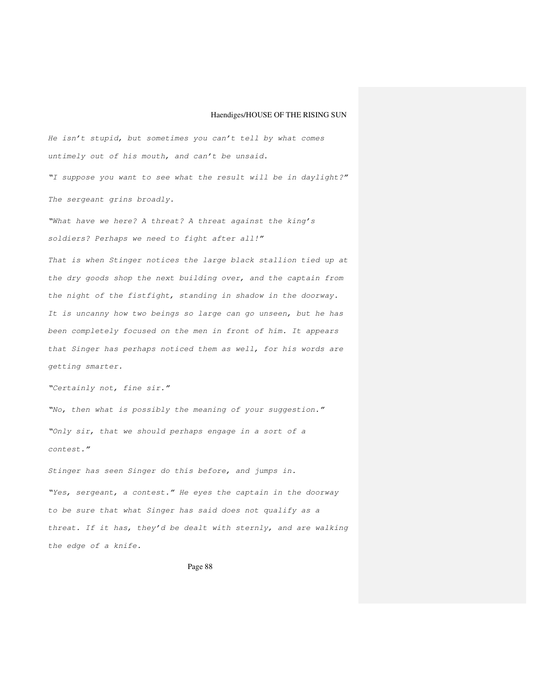He isn't stupid, but sometimes you can't tell by what comes untimely out of his mouth, and can't be unsaid.

"I suppose you want to see what the result will be in daylight?" The sergeant grins broadly.

"What have we here? A threat? A threat against the king's soldiers? Perhaps we need to fight after all!"

That is when Stinger notices the large black stallion tied up at the dry goods shop the next building over, and the captain from the night of the fistfight, standing in shadow in the doorway. It is uncanny how two beings so large can go unseen, but he has been completely focused on the men in front of him. It appears that Singer has perhaps noticed them as well, for his words are getting smarter.

"Certainly not, fine sir."

"No, then what is possibly the meaning of your suggestion." "Only sir, that we should perhaps engage in a sort of a contest."

Stinger has seen Singer do this before, and jumps in. "Yes, sergeant, a contest." He eyes the captain in the doorway to be sure that what Singer has said does not qualify as a threat. If it has, they'd be dealt with sternly, and are walking the edge of a knife.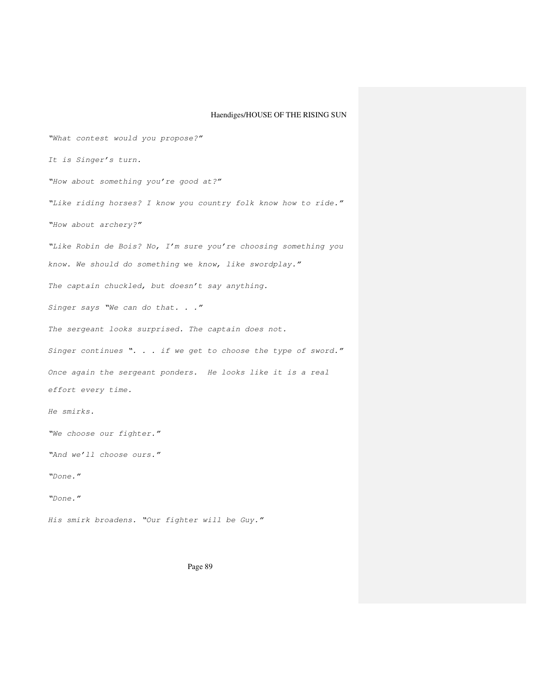"What contest would you propose?" It is Singer's turn. "How about something you're good at?" "Like riding horses? I know you country folk know how to ride." "How about archery?" "Like Robin de Bois? No, I'm sure you're choosing something you know. We should do something we know, like swordplay." The captain chuckled, but doesn't say anything. Singer says "We can do that. . ." The sergeant looks surprised. The captain does not. Singer continues ". . . if we get to choose the type of sword." Once again the sergeant ponders. He looks like it is a real effort every time. He smirks. "We choose our fighter." "And we'll choose ours." "Done." "Done." His smirk broadens. "Our fighter will be Guy."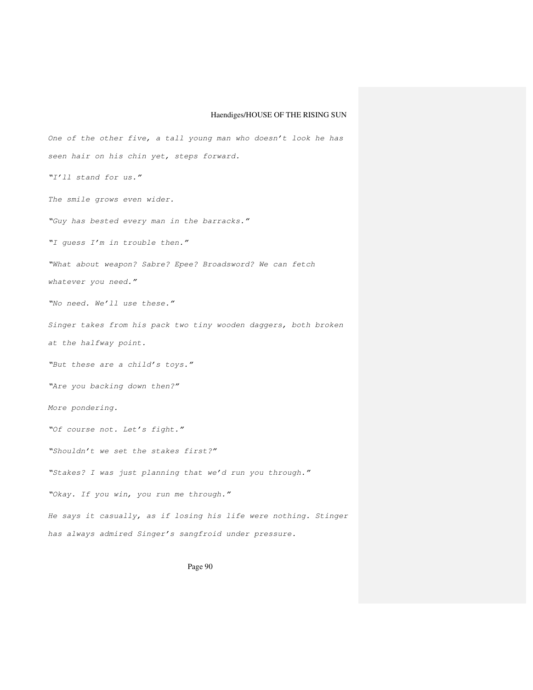One of the other five, a tall young man who doesn't look he has seen hair on his chin yet, steps forward. "I'll stand for us." The smile grows even wider. "Guy has bested every man in the barracks." "I guess I'm in trouble then." "What about weapon? Sabre? Epee? Broadsword? We can fetch whatever you need." "No need. We'll use these." Singer takes from his pack two tiny wooden daggers, both broken at the halfway point. "But these are a child's toys." "Are you backing down then?" More pondering. "Of course not. Let's fight." "Shouldn't we set the stakes first?" "Stakes? I was just planning that we'd run you through." "Okay. If you win, you run me through." He says it casually, as if losing his life were nothing. Stinger has always admired Singer's sangfroid under pressure.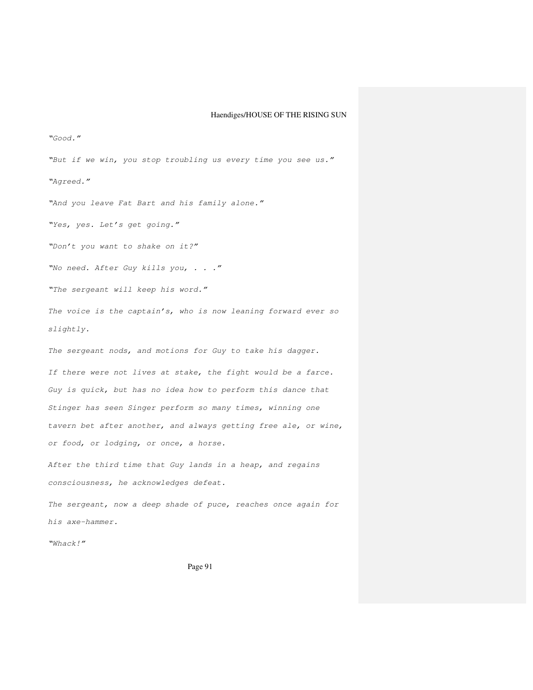"Good."

"But if we win, you stop troubling us every time you see us."

### "Agreed."

"And you leave Fat Bart and his family alone."

"Yes, yes. Let's get going."

"Don't you want to shake on it?"

"No need. After Guy kills you, . . ."

"The sergeant will keep his word."

The voice is the captain's, who is now leaning forward ever so slightly.

The sergeant nods, and motions for Guy to take his dagger.

If there were not lives at stake, the fight would be a farce. Guy is quick, but has no idea how to perform this dance that Stinger has seen Singer perform so many times, winning one tavern bet after another, and always getting free ale, or wine, or food, or lodging, or once, a horse.

After the third time that Guy lands in a heap, and regains consciousness, he acknowledges defeat.

The sergeant, now a deep shade of puce, reaches once again for his axe-hammer.

"Whack!"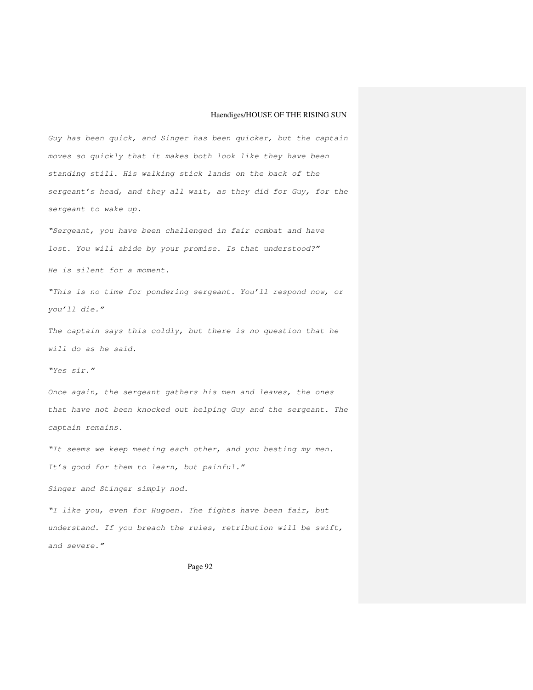Guy has been quick, and Singer has been quicker, but the captain moves so quickly that it makes both look like they have been standing still. His walking stick lands on the back of the sergeant's head, and they all wait, as they did for Guy, for the sergeant to wake up.

"Sergeant, you have been challenged in fair combat and have lost. You will abide by your promise. Is that understood?" He is silent for a moment.

"This is no time for pondering sergeant. You'll respond now, or you'll die."

The captain says this coldly, but there is no question that he will do as he said.

"Yes sir."

Once again, the sergeant gathers his men and leaves, the ones that have not been knocked out helping Guy and the sergeant. The captain remains.

"It seems we keep meeting each other, and you besting my men. It's good for them to learn, but painful."

Singer and Stinger simply nod.

"I like you, even for Hugoen. The fights have been fair, but understand. If you breach the rules, retribution will be swift, and severe."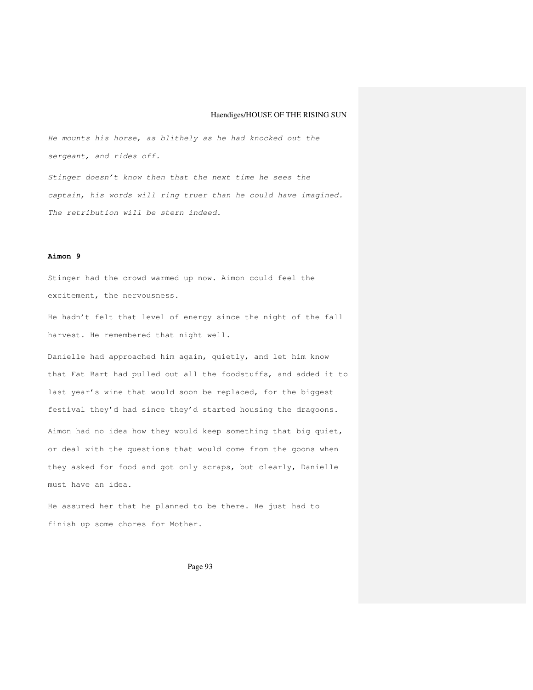He mounts his horse, as blithely as he had knocked out the sergeant, and rides off.

Stinger doesn't know then that the next time he sees the captain, his words will ring truer than he could have imagined. The retribution will be stern indeed.

#### **Aimon 9**

Stinger had the crowd warmed up now. Aimon could feel the excitement, the nervousness.

He hadn't felt that level of energy since the night of the fall harvest. He remembered that night well.

Danielle had approached him again, quietly, and let him know that Fat Bart had pulled out all the foodstuffs, and added it to last year's wine that would soon be replaced, for the biggest festival they'd had since they'd started housing the dragoons. Aimon had no idea how they would keep something that big quiet, or deal with the questions that would come from the goons when they asked for food and got only scraps, but clearly, Danielle must have an idea.

He assured her that he planned to be there. He just had to finish up some chores for Mother.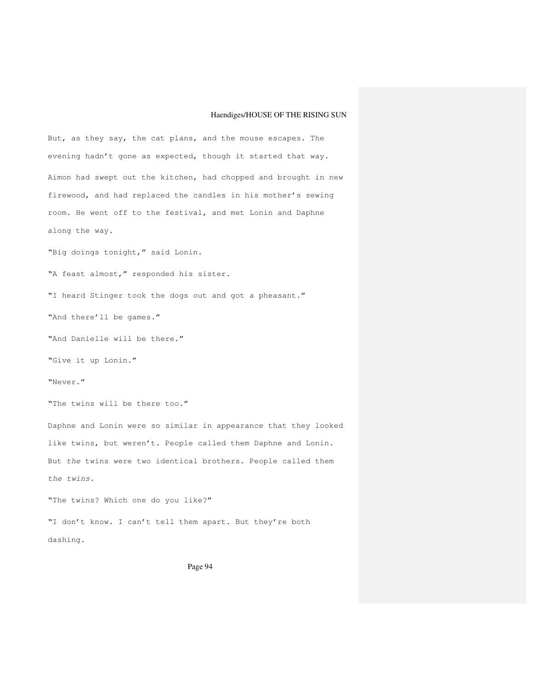But, as they say, the cat plans, and the mouse escapes. The evening hadn't gone as expected, though it started that way. Aimon had swept out the kitchen, had chopped and brought in new firewood, and had replaced the candles in his mother's sewing room. He went off to the festival, and met Lonin and Daphne along the way. "Big doings tonight," said Lonin. "A feast almost," responded his sister. "I heard Stinger took the dogs out and got a pheasant." "And there'll be games." "And Danielle will be there." "Give it up Lonin." "Never." "The twins will be there too." Daphne and Lonin were so similar in appearance that they looked like twins, but weren't. People called them Daphne and Lonin. But the twins were two identical brothers. People called them the twins. "The twins? Which one do you like?" "I don't know. I can't tell them apart. But they're both dashing.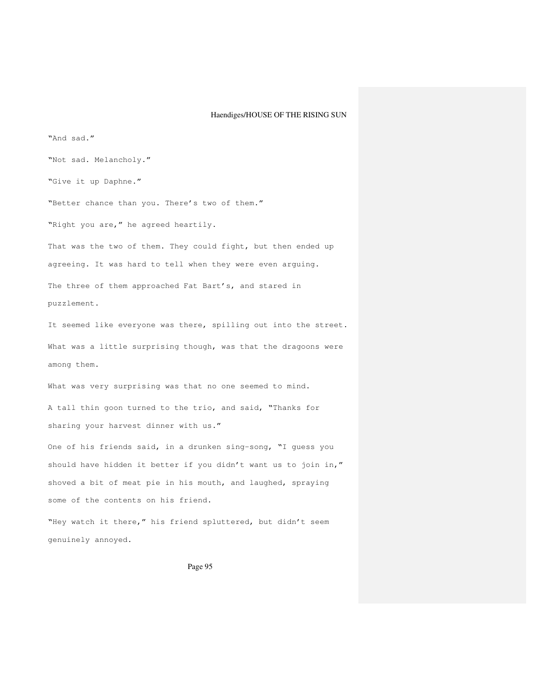"And sad." "Not sad. Melancholy." "Give it up Daphne." "Better chance than you. There's two of them." "Right you are," he agreed heartily. That was the two of them. They could fight, but then ended up agreeing. It was hard to tell when they were even arguing. The three of them approached Fat Bart's, and stared in puzzlement. It seemed like everyone was there, spilling out into the street. What was a little surprising though, was that the dragoons were among them. What was very surprising was that no one seemed to mind. A tall thin goon turned to the trio, and said, "Thanks for sharing your harvest dinner with us." One of his friends said, in a drunken sing-song, "I guess you should have hidden it better if you didn't want us to join in," shoved a bit of meat pie in his mouth, and laughed, spraying some of the contents on his friend. "Hey watch it there," his friend spluttered, but didn't seem genuinely annoyed.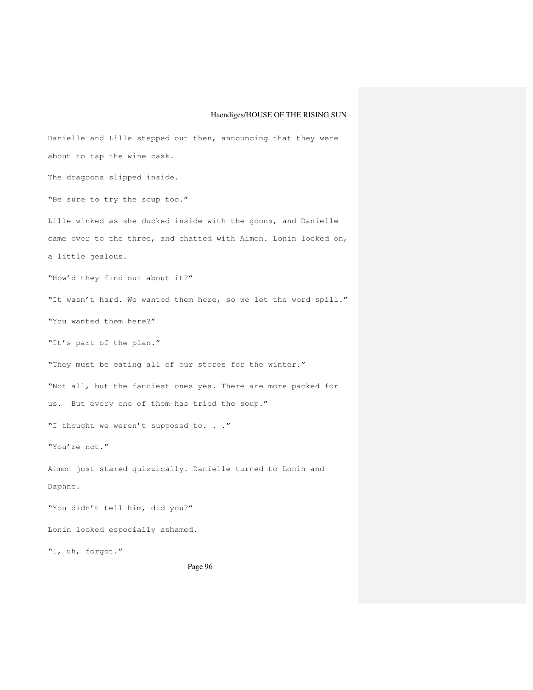Danielle and Lille stepped out then, announcing that they were about to tap the wine cask. The dragoons slipped inside. "Be sure to try the soup too." Lille winked as she ducked inside with the goons, and Danielle came over to the three, and chatted with Aimon. Lonin looked on, a little jealous. "How'd they find out about it?" "It wasn't hard. We wanted them here, so we let the word spill." "You wanted them here?" "It's part of the plan." "They must be eating all of our stores for the winter." "Not all, but the fanciest ones yes. There are more packed for us. But every one of them has tried the soup." "I thought we weren't supposed to. . . " "You're not." Aimon just stared quizzically. Danielle turned to Lonin and Daphne. "You didn't tell him, did you?" Lonin looked especially ashamed. "I, uh, forgot."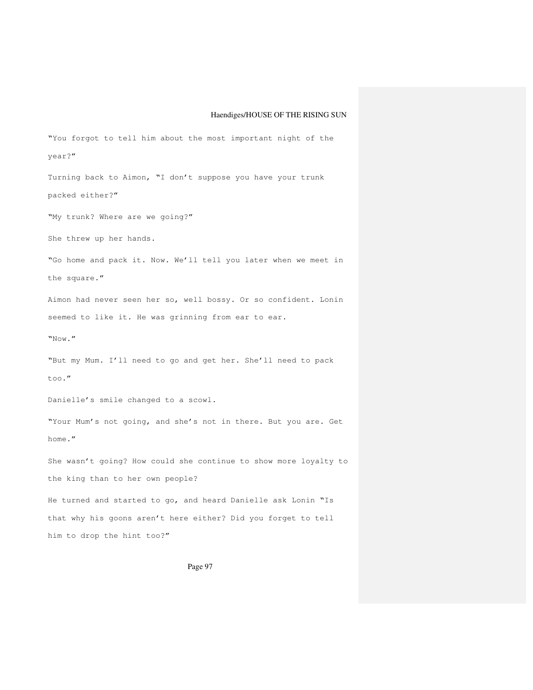"You forgot to tell him about the most important night of the year?" Turning back to Aimon, "I don't suppose you have your trunk packed either?" "My trunk? Where are we going?" She threw up her hands. "Go home and pack it. Now. We'll tell you later when we meet in the square." Aimon had never seen her so, well bossy. Or so confident. Lonin seemed to like it. He was grinning from ear to ear. "Now." "But my Mum. I'll need to go and get her. She'll need to pack too." Danielle's smile changed to a scowl. "Your Mum's not going, and she's not in there. But you are. Get home." She wasn't going? How could she continue to show more loyalty to the king than to her own people? He turned and started to go, and heard Danielle ask Lonin "Is that why his goons aren't here either? Did you forget to tell him to drop the hint too?"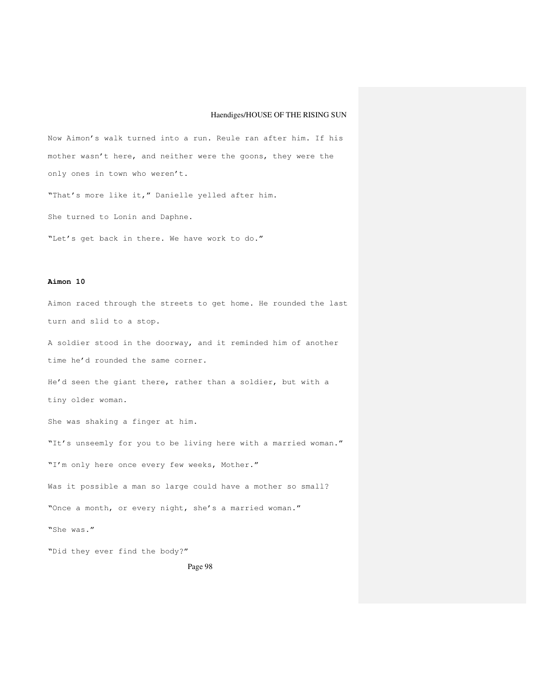Now Aimon's walk turned into a run. Reule ran after him. If his mother wasn't here, and neither were the goons, they were the only ones in town who weren't.

"That's more like it," Danielle yelled after him.

She turned to Lonin and Daphne.

"Let's get back in there. We have work to do."

### **Aimon 10**

Aimon raced through the streets to get home. He rounded the last turn and slid to a stop.

A soldier stood in the doorway, and it reminded him of another time he'd rounded the same corner. He'd seen the giant there, rather than a soldier, but with a

tiny older woman.

She was shaking a finger at him.

"It's unseemly for you to be living here with a married woman." "I'm only here once every few weeks, Mother." Was it possible a man so large could have a mother so small? "Once a month, or every night, she's a married woman." "She was." "Did they ever find the body?"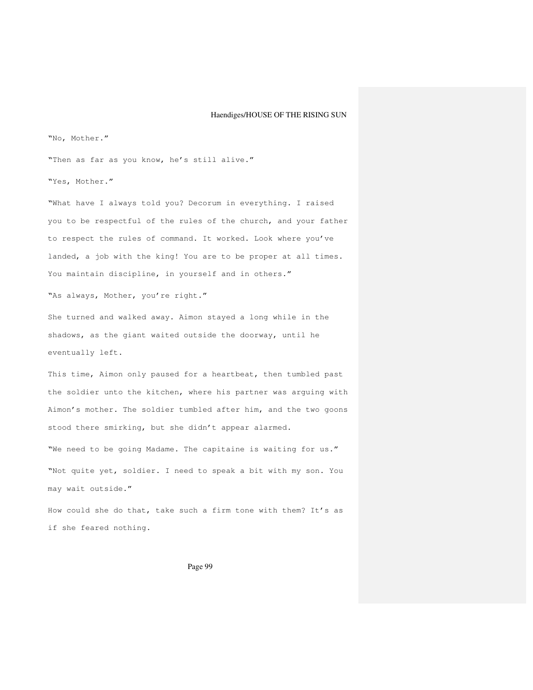"No, Mother."

"Then as far as you know, he's still alive."

"Yes, Mother."

"What have I always told you? Decorum in everything. I raised you to be respectful of the rules of the church, and your father to respect the rules of command. It worked. Look where you've landed, a job with the king! You are to be proper at all times. You maintain discipline, in yourself and in others."

"As always, Mother, you're right."

She turned and walked away. Aimon stayed a long while in the shadows, as the giant waited outside the doorway, until he eventually left.

This time, Aimon only paused for a heartbeat, then tumbled past the soldier unto the kitchen, where his partner was arguing with Aimon's mother. The soldier tumbled after him, and the two goons stood there smirking, but she didn't appear alarmed.

"We need to be going Madame. The capitaine is waiting for us." "Not quite yet, soldier. I need to speak a bit with my son. You may wait outside."

How could she do that, take such a firm tone with them? It's as if she feared nothing.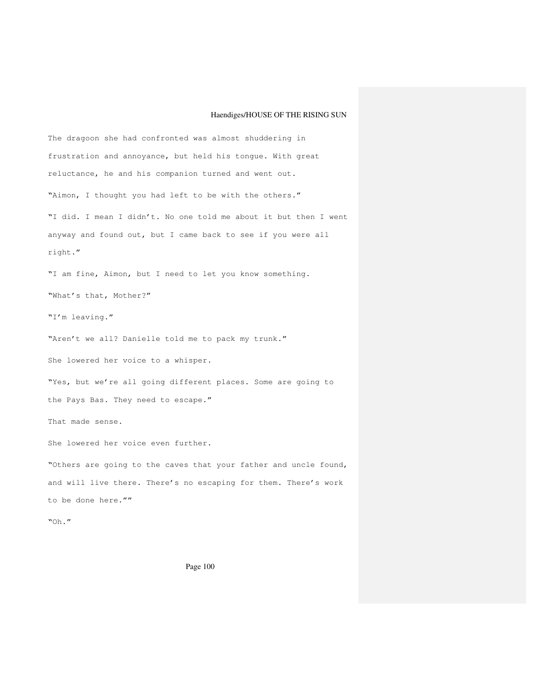The dragoon she had confronted was almost shuddering in frustration and annoyance, but held his tongue. With great reluctance, he and his companion turned and went out. "Aimon, I thought you had left to be with the others." "I did. I mean I didn't. No one told me about it but then I went anyway and found out, but I came back to see if you were all right." "I am fine, Aimon, but I need to let you know something. "What's that, Mother?" "I'm leaving." "Aren't we all? Danielle told me to pack my trunk." She lowered her voice to a whisper. "Yes, but we're all going different places. Some are going to the Pays Bas. They need to escape." That made sense. She lowered her voice even further. "Others are going to the caves that your father and uncle found, and will live there. There's no escaping for them. There's work to be done here."" "Oh."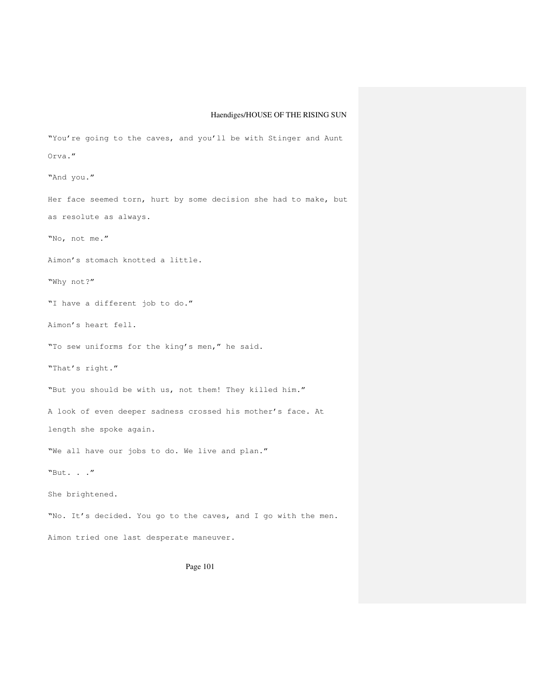"You're going to the caves, and you'll be with Stinger and Aunt Orva." "And you." Her face seemed torn, hurt by some decision she had to make, but as resolute as always. "No, not me." Aimon's stomach knotted a little. "Why not?" "I have a different job to do." Aimon's heart fell. "To sew uniforms for the king's men," he said. "That's right." "But you should be with us, not them! They killed him." A look of even deeper sadness crossed his mother's face. At length she spoke again. "We all have our jobs to do. We live and plan." "But. . ." She brightened. "No. It's decided. You go to the caves, and I go with the men. Aimon tried one last desperate maneuver.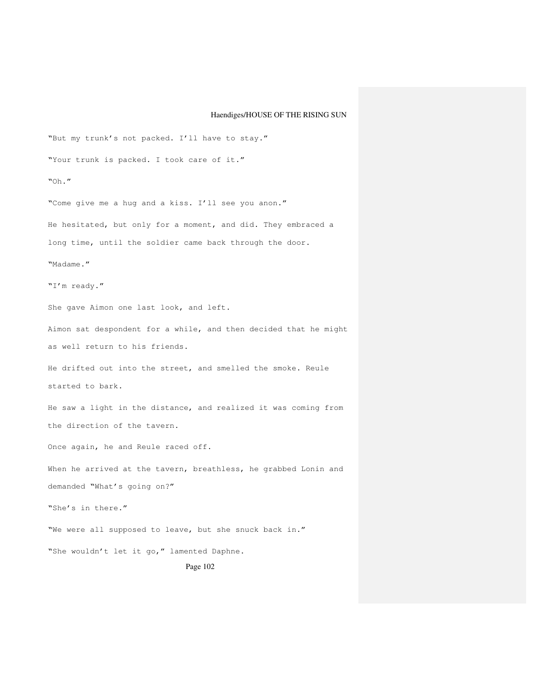Page 102 "But my trunk's not packed. I'll have to stay." "Your trunk is packed. I took care of it." "Oh." "Come give me a hug and a kiss. I'll see you anon." He hesitated, but only for a moment, and did. They embraced a long time, until the soldier came back through the door. "Madame." "I'm ready." She gave Aimon one last look, and left. Aimon sat despondent for a while, and then decided that he might as well return to his friends. He drifted out into the street, and smelled the smoke. Reule started to bark. He saw a light in the distance, and realized it was coming from the direction of the tavern. Once again, he and Reule raced off. When he arrived at the tavern, breathless, he grabbed Lonin and demanded "What's going on?" "She's in there." "We were all supposed to leave, but she snuck back in." "She wouldn't let it go," lamented Daphne.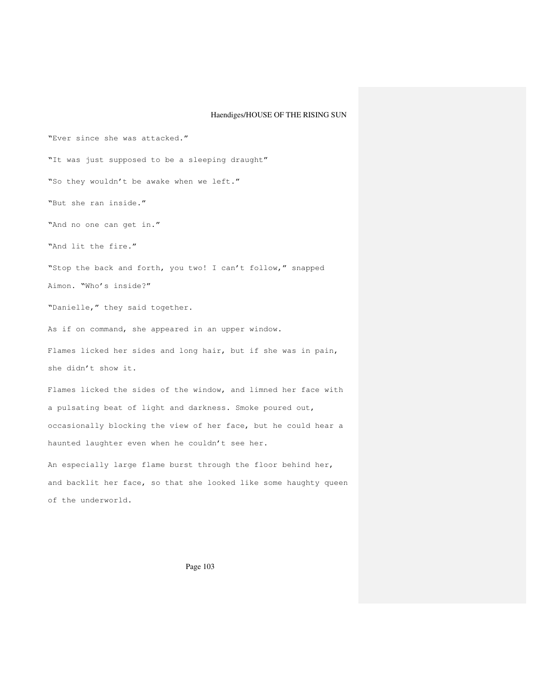"Ever since she was attacked." "It was just supposed to be a sleeping draught" "So they wouldn't be awake when we left." "But she ran inside." "And no one can get in." "And lit the fire." "Stop the back and forth, you two! I can't follow," snapped Aimon. "Who's inside?" "Danielle," they said together. As if on command, she appeared in an upper window. Flames licked her sides and long hair, but if she was in pain, she didn't show it. Flames licked the sides of the window, and limned her face with a pulsating beat of light and darkness. Smoke poured out, occasionally blocking the view of her face, but he could hear a haunted laughter even when he couldn't see her. An especially large flame burst through the floor behind her, and backlit her face, so that she looked like some haughty queen

of the underworld.